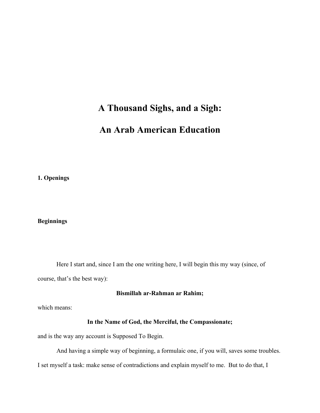# **A Thousand Sighs, and a Sigh:**

# **An Arab American Education**

**1. Openings**

**Beginnings**

Here I start and, since I am the one writing here, I will begin this my way (since, of course, that's the best way):

## **Bismillah ar-Rahman ar Rahim;**

which means:

# **In the Name of God, the Merciful, the Compassionate;**

and is the way any account is Supposed To Begin.

And having a simple way of beginning, a formulaic one, if you will, saves some troubles.

I set myself a task: make sense of contradictions and explain myself to me. But to do that, I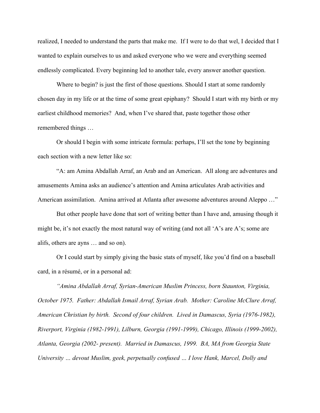realized, I needed to understand the parts that make me. If I were to do that wel, I decided that I wanted to explain ourselves to us and asked everyone who we were and everything seemed endlessly complicated. Every beginning led to another tale, every answer another question.

Where to begin? is just the first of those questions. Should I start at some randomly chosen day in my life or at the time of some great epiphany? Should I start with my birth or my earliest childhood memories? And, when I've shared that, paste together those other remembered things …

Or should I begin with some intricate formula: perhaps, I'll set the tone by beginning each section with a new letter like so:

"A: am Amina Abdallah Arraf, an Arab and an American. All along are adventures and amusements Amina asks an audience's attention and Amina articulates Arab activities and American assimilation. Amina arrived at Atlanta after awesome adventures around Aleppo …"

But other people have done that sort of writing better than I have and, amusing though it might be, it's not exactly the most natural way of writing (and not all  $A$ 's are A's; some are alifs, others are ayns … and so on).

Or I could start by simply giving the basic stats of myself, like you'd find on a baseball card, in a résumé, or in a personal ad:

*"Amina Abdallah Arraf, Syrian-American Muslim Princess, born Staunton, Virginia, October 1975. Father: Abdallah Ismail Arraf, Syrian Arab. Mother: Caroline McClure Arraf, American Christian by birth. Second of four children. Lived in Damascus, Syria (1976-1982), Riverport, Virginia (1982-1991), Lilburn, Georgia (1991-1999), Chicago, Illinois (1999-2002), Atlanta, Georgia (2002- present). Married in Damascus, 1999. BA, MA from Georgia State University … devout Muslim, geek, perpetually confused … I love Hank, Marcel, Dolly and*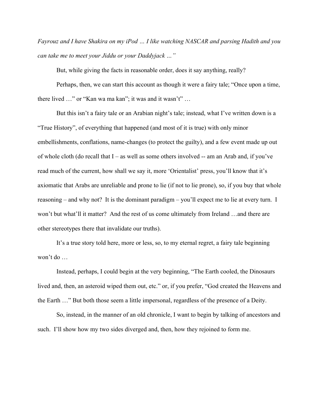*Fayrouz and I have Shakira on my iPod … I like watching NASCAR and parsing Hadith and you can take me to meet your Jiddu or your Daddyjack …"*

But, while giving the facts in reasonable order, does it say anything, really?

Perhaps, then, we can start this account as though it were a fairy tale; "Once upon a time, there lived …" or "Kan wa ma kan"; it was and it wasn't" …

But this isn't a fairy tale or an Arabian night's tale; instead, what I've written down is a "True History", of everything that happened (and most of it is true) with only minor embellishments, conflations, name-changes (to protect the guilty), and a few event made up out of whole cloth (do recall that I – as well as some others involved -- am an Arab and, if you've read much of the current, how shall we say it, more 'Orientalist' press, you'll know that it's axiomatic that Arabs are unreliable and prone to lie (if not to lie prone), so, if you buy that whole reasoning – and why not? It is the dominant paradigm – you'll expect me to lie at every turn. I won't but what'll it matter? And the rest of us come ultimately from Ireland …and there are other stereotypes there that invalidate our truths).

It's a true story told here, more or less, so, to my eternal regret, a fairy tale beginning won't do …

Instead, perhaps, I could begin at the very beginning, "The Earth cooled, the Dinosaurs lived and, then, an asteroid wiped them out, etc." or, if you prefer, "God created the Heavens and the Earth …" But both those seem a little impersonal, regardless of the presence of a Deity.

So, instead, in the manner of an old chronicle, I want to begin by talking of ancestors and such. I'll show how my two sides diverged and, then, how they rejoined to form me.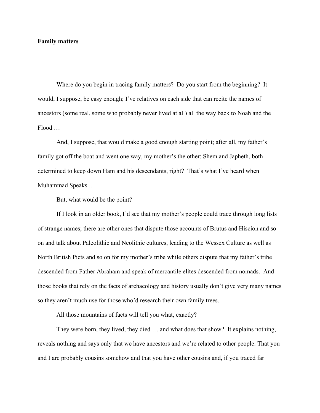#### **Family matters**

Where do you begin in tracing family matters? Do you start from the beginning? It would, I suppose, be easy enough; I've relatives on each side that can recite the names of ancestors (some real, some who probably never lived at all) all the way back to Noah and the Flood …

And, I suppose, that would make a good enough starting point; after all, my father's family got off the boat and went one way, my mother's the other: Shem and Japheth, both determined to keep down Ham and his descendants, right? That's what I've heard when Muhammad Speaks …

But, what would be the point?

If I look in an older book, I'd see that my mother's people could trace through long lists of strange names; there are other ones that dispute those accounts of Brutus and Hiscion and so on and talk about Paleolithic and Neolithic cultures, leading to the Wessex Culture as well as North British Picts and so on for my mother's tribe while others dispute that my father's tribe descended from Father Abraham and speak of mercantile elites descended from nomads. And those books that rely on the facts of archaeology and history usually don't give very many names so they aren't much use for those who'd research their own family trees.

All those mountains of facts will tell you what, exactly?

They were born, they lived, they died … and what does that show? It explains nothing, reveals nothing and says only that we have ancestors and we're related to other people. That you and I are probably cousins somehow and that you have other cousins and, if you traced far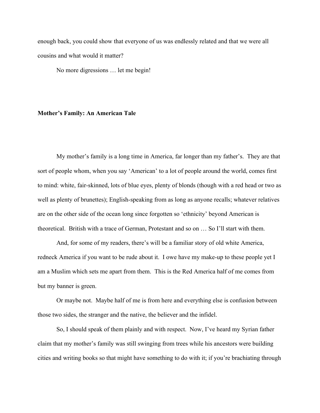enough back, you could show that everyone of us was endlessly related and that we were all cousins and what would it matter?

No more digressions … let me begin!

#### **Mother's Family: An American Tale**

My mother's family is a long time in America, far longer than my father's. They are that sort of people whom, when you say 'American' to a lot of people around the world, comes first to mind: white, fair-skinned, lots of blue eyes, plenty of blonds (though with a red head or two as well as plenty of brunettes); English-speaking from as long as anyone recalls; whatever relatives are on the other side of the ocean long since forgotten so 'ethnicity' beyond American is theoretical. British with a trace of German, Protestant and so on … So I'll start with them.

And, for some of my readers, there's will be a familiar story of old white America, redneck America if you want to be rude about it. I owe have my make-up to these people yet I am a Muslim which sets me apart from them. This is the Red America half of me comes from but my banner is green.

Or maybe not. Maybe half of me is from here and everything else is confusion between those two sides, the stranger and the native, the believer and the infidel.

So, I should speak of them plainly and with respect. Now, I've heard my Syrian father claim that my mother's family was still swinging from trees while his ancestors were building cities and writing books so that might have something to do with it; if you're brachiating through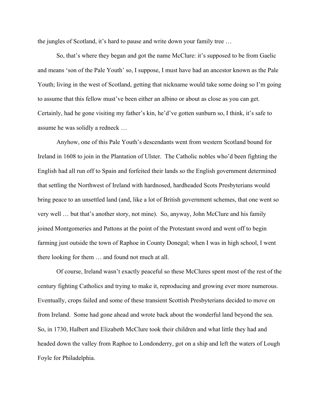the jungles of Scotland, it's hard to pause and write down your family tree …

So, that's where they began and got the name McClure: it's supposed to be from Gaelic and means 'son of the Pale Youth' so, I suppose, I must have had an ancestor known as the Pale Youth; living in the west of Scotland, getting that nickname would take some doing so I'm going to assume that this fellow must've been either an albino or about as close as you can get. Certainly, had he gone visiting my father's kin, he'd've gotten sunburn so, I think, it's safe to assume he was solidly a redneck …

Anyhow, one of this Pale Youth's descendants went from western Scotland bound for Ireland in 1608 to join in the Plantation of Ulster. The Catholic nobles who'd been fighting the English had all run off to Spain and forfeited their lands so the English government determined that settling the Northwest of Ireland with hardnosed, hardheaded Scots Presbyterians would bring peace to an unsettled land (and, like a lot of British government schemes, that one went so very well … but that's another story, not mine). So, anyway, John McClure and his family joined Montgomeries and Pattons at the point of the Protestant sword and went off to begin farming just outside the town of Raphoe in County Donegal; when I was in high school, I went there looking for them … and found not much at all.

Of course, Ireland wasn't exactly peaceful so these McClures spent most of the rest of the century fighting Catholics and trying to make it, reproducing and growing ever more numerous. Eventually, crops failed and some of these transient Scottish Presbyterians decided to move on from Ireland. Some had gone ahead and wrote back about the wonderful land beyond the sea. So, in 1730, Halbert and Elizabeth McClure took their children and what little they had and headed down the valley from Raphoe to Londonderry, got on a ship and left the waters of Lough Foyle for Philadelphia.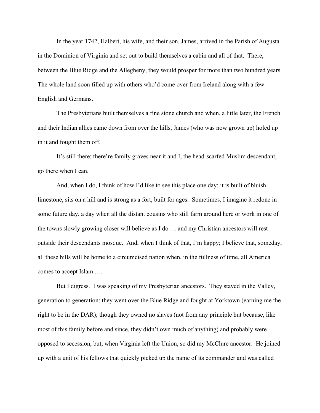In the year 1742, Halbert, his wife, and their son, James, arrived in the Parish of Augusta in the Dominion of Virginia and set out to build themselves a cabin and all of that. There, between the Blue Ridge and the Allegheny, they would prosper for more than two hundred years. The whole land soon filled up with others who'd come over from Ireland along with a few English and Germans.

The Presbyterians built themselves a fine stone church and when, a little later, the French and their Indian allies came down from over the hills, James (who was now grown up) holed up in it and fought them off.

It's still there; there're family graves near it and I, the head-scarfed Muslim descendant, go there when I can.

And, when I do, I think of how I'd like to see this place one day: it is built of bluish limestone, sits on a hill and is strong as a fort, built for ages. Sometimes, I imagine it redone in some future day, a day when all the distant cousins who still farm around here or work in one of the towns slowly growing closer will believe as I do … and my Christian ancestors will rest outside their descendants mosque. And, when I think of that, I'm happy; I believe that, someday, all these hills will be home to a circumcised nation when, in the fullness of time, all America comes to accept Islam ….

But I digress. I was speaking of my Presbyterian ancestors. They stayed in the Valley, generation to generation: they went over the Blue Ridge and fought at Yorktown (earning me the right to be in the DAR); though they owned no slaves (not from any principle but because, like most of this family before and since, they didn't own much of anything) and probably were opposed to secession, but, when Virginia left the Union, so did my McClure ancestor. He joined up with a unit of his fellows that quickly picked up the name of its commander and was called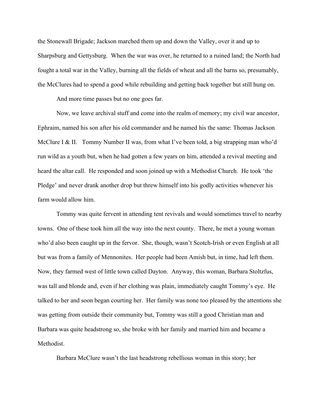the Stonewall Brigade; Jackson marched them up and down the Valley, over it and up to Sharpsburg and Gettysburg. When the war was over, he returned to a ruined land; the North had fought a total war in the Valley, burning all the fields of wheat and all the barns so, presumably, the McClures had to spend a good while rebuilding and getting back together but still hung on.

And more time passes but no one goes far.

Now, we leave archival stuff and come into the realm of memory; my civil war ancestor, Ephraim, named his son after his old commander and he named his the same: Thomas Jackson McClure I & II. Tommy Number II was, from what I've been told, a big strapping man who'd run wild as a youth but, when he had gotten a few years on him, attended a revival meeting and heard the altar call. He responded and soon joined up with a Methodist Church. He took 'the Pledge' and never drank another drop but threw himself into his godly activities whenever his farm would allow him.

Tommy was quite fervent in attending tent revivals and would sometimes travel to nearby towns. One of these took him all the way into the next county. There, he met a young woman who'd also been caught up in the fervor. She, though, wasn't Scotch-Irish or even English at all but was from a family of Mennonites. Her people had been Amish but, in time, had left them. Now, they farmed west of little town called Dayton. Anyway, this woman, Barbara Stoltzfus, was tall and blonde and, even if her clothing was plain, immediately caught Tommy's eye. He talked to her and soon began courting her. Her family was none too pleased by the attentions she was getting from outside their community but, Tommy was still a good Christian man and Barbara was quite headstrong so, she broke with her family and married him and became a Methodist.

Barbara McClure wasn't the last headstrong rebellious woman in this story; her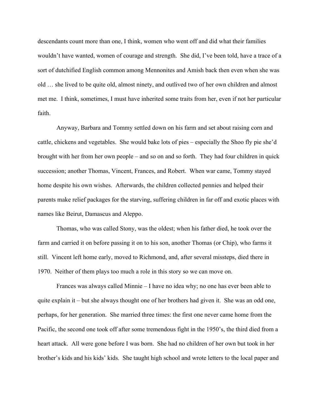descendants count more than one, I think, women who went off and did what their families wouldn't have wanted, women of courage and strength. She did, I've been told, have a trace of a sort of dutchified English common among Mennonites and Amish back then even when she was old … she lived to be quite old, almost ninety, and outlived two of her own children and almost met me. I think, sometimes, I must have inherited some traits from her, even if not her particular faith.

Anyway, Barbara and Tommy settled down on his farm and set about raising corn and cattle, chickens and vegetables. She would bake lots of pies – especially the Shoo fly pie she'd brought with her from her own people – and so on and so forth. They had four children in quick succession; another Thomas, Vincent, Frances, and Robert. When war came, Tommy stayed home despite his own wishes. Afterwards, the children collected pennies and helped their parents make relief packages for the starving, suffering children in far off and exotic places with names like Beirut, Damascus and Aleppo.

Thomas, who was called Stony, was the oldest; when his father died, he took over the farm and carried it on before passing it on to his son, another Thomas (or Chip), who farms it still. Vincent left home early, moved to Richmond, and, after several missteps, died there in 1970. Neither of them plays too much a role in this story so we can move on.

Frances was always called Minnie – I have no idea why; no one has ever been able to quite explain it – but she always thought one of her brothers had given it. She was an odd one, perhaps, for her generation. She married three times: the first one never came home from the Pacific, the second one took off after some tremendous fight in the 1950's, the third died from a heart attack. All were gone before I was born. She had no children of her own but took in her brother's kids and his kids' kids. She taught high school and wrote letters to the local paper and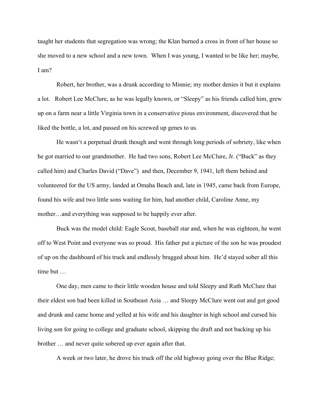taught her students that segregation was wrong; the Klan burned a cross in front of her house so she moved to a new school and a new town. When I was young, I wanted to be like her; maybe, I am?

Robert, her brother, was a drunk according to Minnie; my mother denies it but it explains a lot. Robert Lee McClure, as he was legally known, or "Sleepy" as his friends called him, grew up on a farm near a little Virginia town in a conservative pious environment, discovered that he liked the bottle, a lot, and passed on his screwed up genes to us.

He wasn't a perpetual drunk though and went through long periods of sobriety, like when he got married to our grandmother. He had two sons, Robert Lee McClure, Jr. ("Buck" as they called him) and Charles David ("Dave") and then, December 9, 1941, left them behind and volunteered for the US army, landed at Omaha Beach and, late in 1945, came back from Europe, found his wife and two little sons waiting for him, had another child, Caroline Anne, my mother…and everything was supposed to be happily ever after.

Buck was the model child: Eagle Scout, baseball star and, when he was eighteen, he went off to West Point and everyone was so proud. His father put a picture of the son he was proudest of up on the dashboard of his truck and endlessly bragged about him. He'd stayed sober all this time but …

One day, men came to their little wooden house and told Sleepy and Ruth McClure that their eldest son had been killed in Southeast Asia … and Sleepy McClure went out and got good and drunk and came home and yelled at his wife and his daughter in high school and cursed his living son for going to college and graduate school, skipping the draft and not backing up his brother … and never quite sobered up ever again after that.

A week or two later, he drove his truck off the old highway going over the Blue Ridge;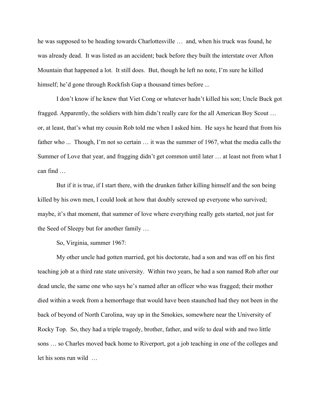he was supposed to be heading towards Charlottesville … and, when his truck was found, he was already dead. It was listed as an accident; back before they built the interstate over Afton Mountain that happened a lot. It still does. But, though he left no note, I'm sure he killed himself; he'd gone through Rockfish Gap a thousand times before ...

I don't know if he knew that Viet Cong or whatever hadn't killed his son; Uncle Buck got fragged. Apparently, the soldiers with him didn't really care for the all American Boy Scout … or, at least, that's what my cousin Rob told me when I asked him. He says he heard that from his father who ... Though, I'm not so certain … it was the summer of 1967, what the media calls the Summer of Love that year, and fragging didn't get common until later … at least not from what I can find

But if it is true, if I start there, with the drunken father killing himself and the son being killed by his own men, I could look at how that doubly screwed up everyone who survived; maybe, it's that moment, that summer of love where everything really gets started, not just for the Seed of Sleepy but for another family …

So, Virginia, summer 1967:

My other uncle had gotten married, got his doctorate, had a son and was off on his first teaching job at a third rate state university. Within two years, he had a son named Rob after our dead uncle, the same one who says he's named after an officer who was fragged; their mother died within a week from a hemorrhage that would have been staunched had they not been in the back of beyond of North Carolina, way up in the Smokies, somewhere near the University of Rocky Top. So, they had a triple tragedy, brother, father, and wife to deal with and two little sons … so Charles moved back home to Riverport, got a job teaching in one of the colleges and let his sons run wild …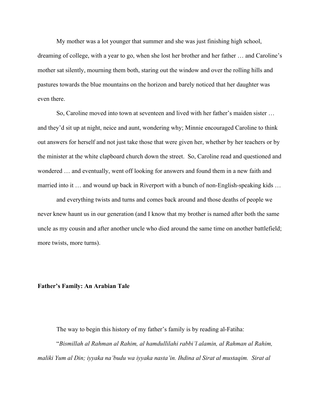My mother was a lot younger that summer and she was just finishing high school, dreaming of college, with a year to go, when she lost her brother and her father … and Caroline's mother sat silently, mourning them both, staring out the window and over the rolling hills and pastures towards the blue mountains on the horizon and barely noticed that her daughter was even there.

So, Caroline moved into town at seventeen and lived with her father's maiden sister … and they'd sit up at night, neice and aunt, wondering why; Minnie encouraged Caroline to think out answers for herself and not just take those that were given her, whether by her teachers or by the minister at the white clapboard church down the street. So, Caroline read and questioned and wondered … and eventually, went off looking for answers and found them in a new faith and married into it ... and wound up back in Riverport with a bunch of non-English-speaking kids ...

and everything twists and turns and comes back around and those deaths of people we never knew haunt us in our generation (and I know that my brother is named after both the same uncle as my cousin and after another uncle who died around the same time on another battlefield; more twists, more turns).

#### **Father's Family: An Arabian Tale**

The way to begin this history of my father's family is by reading al-Fatiha:

"*Bismillah al Rahman al Rahim, al hamdullilahi rabbi'l alamin, al Rahman al Rahim, maliki Yum al Din; iyyaka na'budu wa iyyaka nasta'in. Ihdina al Sirat al mustaqim. Sirat al*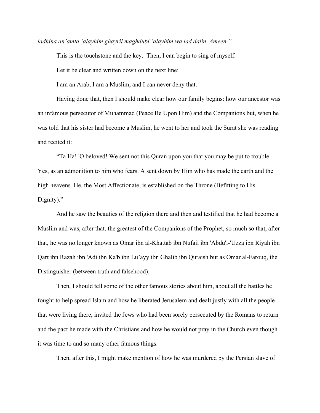*ladhina an'amta 'alayhim ghayril maghdubi 'alayhim wa lad dalin. Ameen."*

This is the touchstone and the key. Then, I can begin to sing of myself.

Let it be clear and written down on the next line:

I am an Arab, I am a Muslim, and I can never deny that.

Having done that, then I should make clear how our family begins: how our ancestor was an infamous persecutor of Muhammad (Peace Be Upon Him) and the Companions but, when he was told that his sister had become a Muslim, he went to her and took the Surat she was reading and recited it:

"Ta Ha! 'O beloved! We sent not this Quran upon you that you may be put to trouble. Yes, as an admonition to him who fears. A sent down by Him who has made the earth and the high heavens. He, the Most Affectionate, is established on the Throne (Befitting to His Dignity)."

And he saw the beauties of the religion there and then and testified that he had become a Muslim and was, after that, the greatest of the Companions of the Prophet, so much so that, after that, he was no longer known as Omar ibn al-Khattab ibn Nufail ibn 'Abdu'l-'Uzza ibn Riyah ibn Qart ibn Razah ibn 'Adi ibn Ka'b ibn Lu'ayy ibn Ghalib ibn Quraish but as Omar al-Farouq, the Distinguisher (between truth and falsehood).

Then, I should tell some of the other famous stories about him, about all the battles he fought to help spread Islam and how he liberated Jerusalem and dealt justly with all the people that were living there, invited the Jews who had been sorely persecuted by the Romans to return and the pact he made with the Christians and how he would not pray in the Church even though it was time to and so many other famous things.

Then, after this, I might make mention of how he was murdered by the Persian slave of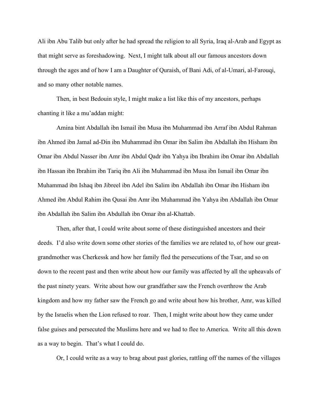Ali ibn Abu Talib but only after he had spread the religion to all Syria, Iraq al-Arab and Egypt as that might serve as foreshadowing. Next, I might talk about all our famous ancestors down through the ages and of how I am a Daughter of Quraish, of Bani Adi, of al-Umari, al-Farouqi, and so many other notable names.

Then, in best Bedouin style, I might make a list like this of my ancestors, perhaps chanting it like a mu'addan might:

Amina bint Abdallah ibn Ismail ibn Musa ibn Muhammad ibn Arraf ibn Abdul Rahman ibn Ahmed ibn Jamal ad-Din ibn Muhammad ibn Omar ibn Salim ibn Abdallah ibn Hisham ibn Omar ibn Abdul Nasser ibn Amr ibn Abdul Qadr ibn Yahya ibn Ibrahim ibn Omar ibn Abdallah ibn Hassan ibn Ibrahim ibn Tariq ibn Ali ibn Muhammad ibn Musa ibn Ismail ibn Omar ibn Muhammad ibn Ishaq ibn Jibreel ibn Adel ibn Salim ibn Abdallah ibn Omar ibn Hisham ibn Ahmed ibn Abdul Rahim ibn Qusai ibn Amr ibn Muhammad ibn Yahya ibn Abdallah ibn Omar ibn Abdallah ibn Salim ibn Abdullah ibn Omar ibn al-Khattab.

Then, after that, I could write about some of these distinguished ancestors and their deeds. I'd also write down some other stories of the families we are related to, of how our greatgrandmother was Cherkessk and how her family fled the persecutions of the Tsar, and so on down to the recent past and then write about how our family was affected by all the upheavals of the past ninety years. Write about how our grandfather saw the French overthrow the Arab kingdom and how my father saw the French go and write about how his brother, Amr, was killed by the Israelis when the Lion refused to roar. Then, I might write about how they came under false guises and persecuted the Muslims here and we had to flee to America. Write all this down as a way to begin. That's what I could do.

Or, I could write as a way to brag about past glories, rattling off the names of the villages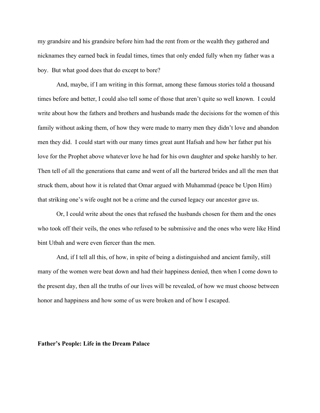my grandsire and his grandsire before him had the rent from or the wealth they gathered and nicknames they earned back in feudal times, times that only ended fully when my father was a boy. But what good does that do except to bore?

And, maybe, if I am writing in this format, among these famous stories told a thousand times before and better, I could also tell some of those that aren't quite so well known. I could write about how the fathers and brothers and husbands made the decisions for the women of this family without asking them, of how they were made to marry men they didn't love and abandon men they did. I could start with our many times great aunt Hafsah and how her father put his love for the Prophet above whatever love he had for his own daughter and spoke harshly to her. Then tell of all the generations that came and went of all the bartered brides and all the men that struck them, about how it is related that Omar argued with Muhammad (peace be Upon Him) that striking one's wife ought not be a crime and the cursed legacy our ancestor gave us.

Or, I could write about the ones that refused the husbands chosen for them and the ones who took off their veils, the ones who refused to be submissive and the ones who were like Hind bint Utbah and were even fiercer than the men.

And, if I tell all this, of how, in spite of being a distinguished and ancient family, still many of the women were beat down and had their happiness denied, then when I come down to the present day, then all the truths of our lives will be revealed, of how we must choose between honor and happiness and how some of us were broken and of how I escaped.

#### **Father's People: Life in the Dream Palace**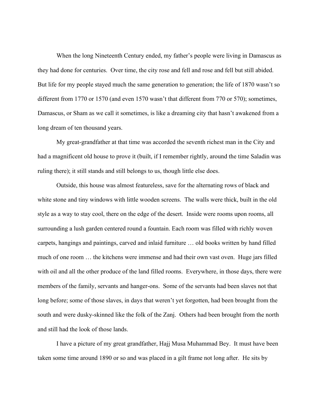When the long Nineteenth Century ended, my father's people were living in Damascus as they had done for centuries. Over time, the city rose and fell and rose and fell but still abided. But life for my people stayed much the same generation to generation; the life of 1870 wasn't so different from 1770 or 1570 (and even 1570 wasn't that different from 770 or 570); sometimes, Damascus, or Sham as we call it sometimes, is like a dreaming city that hasn't awakened from a long dream of ten thousand years.

My great-grandfather at that time was accorded the seventh richest man in the City and had a magnificent old house to prove it (built, if I remember rightly, around the time Saladin was ruling there); it still stands and still belongs to us, though little else does.

Outside, this house was almost featureless, save for the alternating rows of black and white stone and tiny windows with little wooden screens. The walls were thick, built in the old style as a way to stay cool, there on the edge of the desert. Inside were rooms upon rooms, all surrounding a lush garden centered round a fountain. Each room was filled with richly woven carpets, hangings and paintings, carved and inlaid furniture … old books written by hand filled much of one room … the kitchens were immense and had their own vast oven. Huge jars filled with oil and all the other produce of the land filled rooms. Everywhere, in those days, there were members of the family, servants and hanger-ons. Some of the servants had been slaves not that long before; some of those slaves, in days that weren't yet forgotten, had been brought from the south and were dusky-skinned like the folk of the Zanj. Others had been brought from the north and still had the look of those lands.

I have a picture of my great grandfather, Hajj Musa Muhammad Bey. It must have been taken some time around 1890 or so and was placed in a gilt frame not long after. He sits by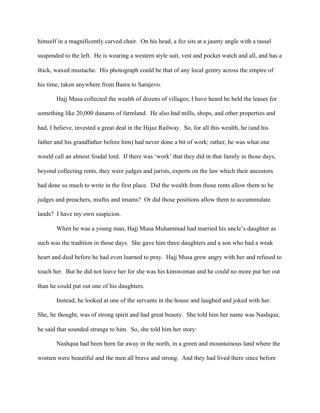himself in a magnificently carved chair. On his head, a fez sits at a jaunty angle with a tassel suspended to the left. He is wearing a western style suit, vest and pocket watch and all, and has a thick, waxed mustache. His photograph could be that of any local gentry across the empire of his time, taken anywhere from Basra to Sarajevo.

Hajj Musa collected the wealth of dozens of villages; I have heard he held the leases for something like 20,000 dunams of farmland. He also had mills, shops, and other properties and had, I believe, invested a great deal in the Hijaz Railway. So, for all this wealth, he (and his father and his grandfather before him) had never done a bit of work; rather, he was what one would call an almost feudal lord. If there was 'work' that they did in that family in those days, beyond collecting rents, they were judges and jurists, experts on the law which their ancestors had done so much to write in the first place. Did the wealth from those rents allow them to be judges and preachers, muftis and imams? Or did those positions allow them to accummulate lands? I have my own suspicion.

When he was a young man, Hajj Musa Muhammad had married his uncle's daughter as such was the tradition in those days. She gave him three daughters and a son who had a weak heart and died before he had even learned to pray. Hajj Musa grew angry with her and refused to touch her. But he did not leave her for she was his kinswoman and he could no more put her out than he could put out one of his daughters.

Instead, he looked at one of the servants in the house and laughed and joked with her. She, he thought, was of strong spirit and had great beauty. She told him her name was Nashqua; he said that sounded strange to him. So, she told him her story:

Nashqua had been born far away in the north, in a green and mountainous land where the women were beautiful and the men all brave and strong. And they had lived there since before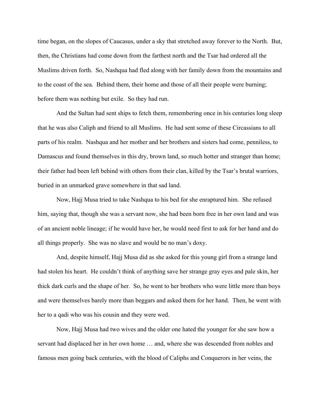time began, on the slopes of Caucasus, under a sky that stretched away forever to the North. But, then, the Christians had come down from the farthest north and the Tsar had ordered all the Muslims driven forth. So, Nashqua had fled along with her family down from the mountains and to the coast of the sea. Behind them, their home and those of all their people were burning; before them was nothing but exile. So they had run.

And the Sultan had sent ships to fetch them, remembering once in his centuries long sleep that he was also Caliph and friend to all Muslims. He had sent some of these Circassians to all parts of his realm. Nashqua and her mother and her brothers and sisters had come, penniless, to Damascus and found themselves in this dry, brown land, so much hotter and stranger than home; their father had been left behind with others from their clan, killed by the Tsar's brutal warriors, buried in an unmarked grave somewhere in that sad land.

Now, Hajj Musa tried to take Nashqua to his bed for she enraptured him. She refused him, saying that, though she was a servant now, she had been born free in her own land and was of an ancient noble lineage; if he would have her, he would need first to ask for her hand and do all things properly. She was no slave and would be no man's doxy.

And, despite himself, Hajj Musa did as she asked for this young girl from a strange land had stolen his heart. He couldn't think of anything save her strange gray eyes and pale skin, her thick dark curls and the shape of her. So, he went to her brothers who were little more than boys and were themselves barely more than beggars and asked them for her hand. Then, he went with her to a qadi who was his cousin and they were wed.

Now, Hajj Musa had two wives and the older one hated the younger for she saw how a servant had displaced her in her own home … and, where she was descended from nobles and famous men going back centuries, with the blood of Caliphs and Conquerors in her veins, the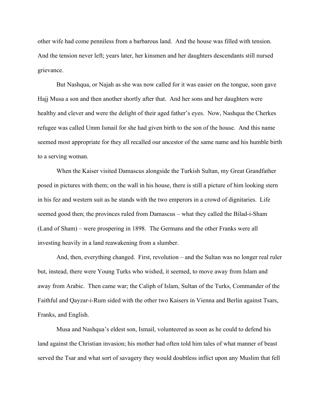other wife had come penniless from a barbarous land. And the house was filled with tension. And the tension never left; years later, her kinsmen and her daughters descendants still nursed grievance.

But Nashqua, or Najah as she was now called for it was easier on the tongue, soon gave Hajj Musa a son and then another shortly after that. And her sons and her daughters were healthy and clever and were the delight of their aged father's eyes. Now, Nashqua the Cherkes refugee was called Umm Ismail for she had given birth to the son of the house. And this name seemed most appropriate for they all recalled our ancestor of the same name and his humble birth to a serving woman.

When the Kaiser visited Damascus alongside the Turkish Sultan, my Great Grandfather posed in pictures with them; on the wall in his house, there is still a picture of him looking stern in his fez and western suit as he stands with the two emperors in a crowd of dignitaries. Life seemed good then; the provinces ruled from Damascus – what they called the Bilad-i-Sham (Land of Sham) – were prospering in 1898. The Germans and the other Franks were all investing heavily in a land reawakening from a slumber.

And, then, everything changed. First, revolution – and the Sultan was no longer real ruler but, instead, there were Young Turks who wished, it seemed, to move away from Islam and away from Arabic. Then came war; the Caliph of Islam, Sultan of the Turks, Commander of the Faithful and Qayzar-i-Rum sided with the other two Kaisers in Vienna and Berlin against Tsars, Franks, and English.

Musa and Nashqua's eldest son, Ismail, volunteered as soon as he could to defend his land against the Christian invasion; his mother had often told him tales of what manner of beast served the Tsar and what sort of savagery they would doubtless inflict upon any Muslim that fell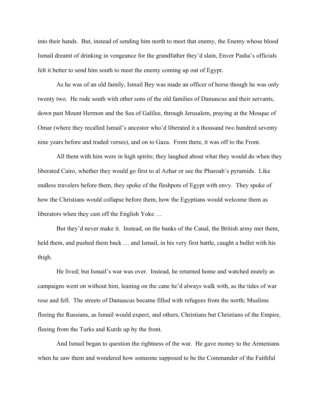into their hands. But, instead of sending him north to meet that enemy, the Enemy whose blood Ismail dreamt of drinking in vengeance for the grandfather they'd slain, Enver Pasha's officials felt it better to send him south to meet the enemy coming up out of Egypt.

As he was of an old family, Ismail Bey was made an officer of horse though he was only twenty two. He rode south with other sons of the old families of Damascus and their servants, down past Mount Hermon and the Sea of Galilee, through Jerusalem, praying at the Mosque of Omar (where they recalled Ismail's ancestor who'd liberated it a thousand two hundred seventy nine years before and traded verses), and on to Gaza. From there, it was off to the Front.

All them with him were in high spirits; they laughed about what they would do when they liberated Cairo, whether they would go first to al Azhar or see the Pharoah's pyramids. Like endless travelers before them, they spoke of the fleshpots of Egypt with envy. They spoke of how the Christians would collapse before them, how the Egyptians would welcome them as liberators when they cast off the English Yoke …

But they'd never make it. Instead, on the banks of the Canal, the British army met them, held them, and pushed them back … and Ismail, in his very first battle, caught a bullet with his thigh.

He lived; but Ismail's war was over. Instead, he returned home and watched mutely as campaigns went on without him, leaning on the cane he'd always walk with, as the tides of war rose and fell. The streets of Damascus became filled with refugees from the north; Muslims fleeing the Russians, as Ismail would expect, and others, Christians but Christians of the Empire, fleeing from the Turks and Kurds up by the front.

And Ismail began to question the rightness of the war. He gave money to the Armenians when he saw them and wondered how someone supposed to be the Commander of the Faithful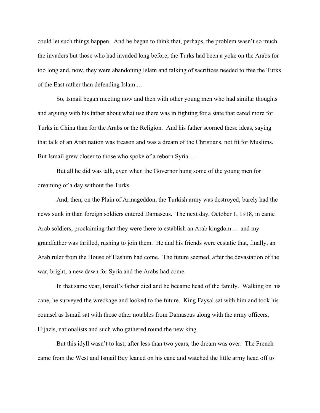could let such things happen. And he began to think that, perhaps, the problem wasn't so much the invaders but those who had invaded long before; the Turks had been a yoke on the Arabs for too long and, now, they were abandoning Islam and talking of sacrifices needed to free the Turks of the East rather than defending Islam …

So, Ismail began meeting now and then with other young men who had similar thoughts and arguing with his father about what use there was in fighting for a state that cared more for Turks in China than for the Arabs or the Religion. And his father scorned these ideas, saying that talk of an Arab nation was treason and was a dream of the Christians, not fit for Muslims. But Ismail grew closer to those who spoke of a reborn Syria …

But all he did was talk, even when the Governor hung some of the young men for dreaming of a day without the Turks.

And, then, on the Plain of Armageddon, the Turkish army was destroyed; barely had the news sunk in than foreign soldiers entered Damascus. The next day, October 1, 1918, in came Arab soldiers, proclaiming that they were there to establish an Arab kingdom … and my grandfather was thrilled, rushing to join them. He and his friends were ecstatic that, finally, an Arab ruler from the House of Hashim had come. The future seemed, after the devastation of the war, bright; a new dawn for Syria and the Arabs had come.

In that same year, Ismail's father died and he became head of the family. Walking on his cane, he surveyed the wreckage and looked to the future. King Faysal sat with him and took his counsel as Ismail sat with those other notables from Damascus along with the army officers, Hijazis, nationalists and such who gathered round the new king.

But this idyll wasn't to last; after less than two years, the dream was over. The French came from the West and Ismail Bey leaned on his cane and watched the little army head off to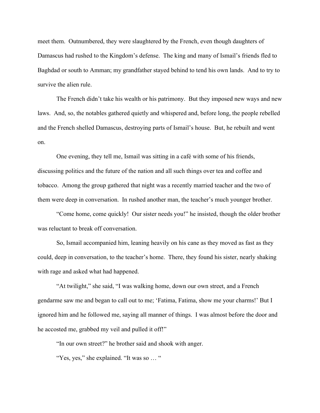meet them. Outnumbered, they were slaughtered by the French, even though daughters of Damascus had rushed to the Kingdom's defense. The king and many of Ismail's friends fled to Baghdad or south to Amman; my grandfather stayed behind to tend his own lands. And to try to survive the alien rule.

The French didn't take his wealth or his patrimony. But they imposed new ways and new laws. And, so, the notables gathered quietly and whispered and, before long, the people rebelled and the French shelled Damascus, destroying parts of Ismail's house. But, he rebuilt and went on.

One evening, they tell me, Ismail was sitting in a café with some of his friends, discussing politics and the future of the nation and all such things over tea and coffee and tobacco. Among the group gathered that night was a recently married teacher and the two of them were deep in conversation. In rushed another man, the teacher's much younger brother.

"Come home, come quickly! Our sister needs you!" he insisted, though the older brother was reluctant to break off conversation.

So, Ismail accompanied him, leaning heavily on his cane as they moved as fast as they could, deep in conversation, to the teacher's home. There, they found his sister, nearly shaking with rage and asked what had happened.

"At twilight," she said, "I was walking home, down our own street, and a French gendarme saw me and began to call out to me; 'Fatima, Fatima, show me your charms!' But I ignored him and he followed me, saying all manner of things. I was almost before the door and he accosted me, grabbed my veil and pulled it off!"

"In our own street?" he brother said and shook with anger.

"Yes, yes," she explained. "It was so … "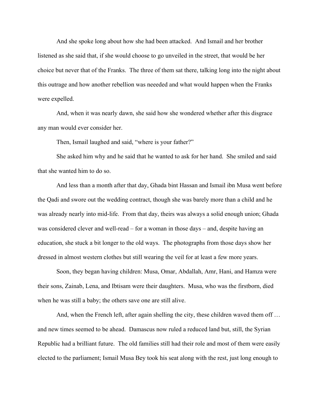And she spoke long about how she had been attacked. And Ismail and her brother listened as she said that, if she would choose to go unveiled in the street, that would be her choice but never that of the Franks. The three of them sat there, talking long into the night about this outrage and how another rebellion was neeeded and what would happen when the Franks were expelled.

And, when it was nearly dawn, she said how she wondered whether after this disgrace any man would ever consider her.

Then, Ismail laughed and said, "where is your father?"

She asked him why and he said that he wanted to ask for her hand. She smiled and said that she wanted him to do so.

And less than a month after that day, Ghada bint Hassan and Ismail ibn Musa went before the Qadi and swore out the wedding contract, though she was barely more than a child and he was already nearly into mid-life. From that day, theirs was always a solid enough union; Ghada was considered clever and well-read – for a woman in those days – and, despite having an education, she stuck a bit longer to the old ways. The photographs from those days show her dressed in almost western clothes but still wearing the veil for at least a few more years.

Soon, they began having children: Musa, Omar, Abdallah, Amr, Hani, and Hamza were their sons, Zainab, Lena, and Ibtisam were their daughters. Musa, who was the firstborn, died when he was still a baby; the others save one are still alive.

And, when the French left, after again shelling the city, these children waved them off … and new times seemed to be ahead. Damascus now ruled a reduced land but, still, the Syrian Republic had a brilliant future. The old families still had their role and most of them were easily elected to the parliament; Ismail Musa Bey took his seat along with the rest, just long enough to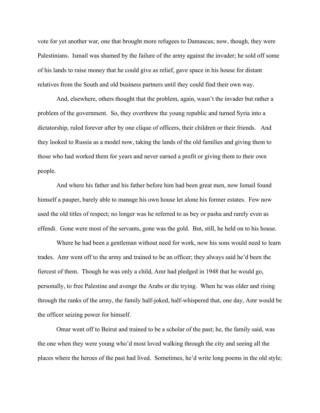vote for yet another war, one that brought more refugees to Damascus; now, though, they were Palestinians. Ismail was shamed by the failure of the army against the invader; he sold off some of his lands to raise money that he could give as relief, gave space in his house for distant relatives from the South and old business partners until they could find their own way.

And, elsewhere, others thought that the problem, again, wasn't the invader but rather a problem of the government. So, they overthrew the young republic and turned Syria into a dictatorship, ruled forever after by one clique of officers, their children or their friends. And they looked to Russia as a model now, taking the lands of the old families and giving them to those who had worked them for years and never earned a profit or giving them to their own people.

And where his father and his father before him had been great men, now Ismail found himself a pauper, barely able to manage his own house let alone his former estates. Few now used the old titles of respect; no longer was he referred to as bey or pasha and rarely even as effendi. Gone were most of the servants, gone was the gold. But, still, he held on to his house.

Where he had been a gentleman without need for work, now his sons would need to learn trades. Amr went off to the army and trained to be an officer; they always said he'd been the fiercest of them. Though he was only a child, Amr had pledged in 1948 that he would go, personally, to free Palestine and avenge the Arabs or die trying. When he was older and rising through the ranks of the army, the family half-joked, half-whispered that, one day, Amr would be the officer seizing power for himself.

Omar went off to Beirut and trained to be a scholar of the past; he, the family said, was the one when they were young who'd most loved walking through the city and seeing all the places where the heroes of the past had lived. Sometimes, he'd write long poems in the old style;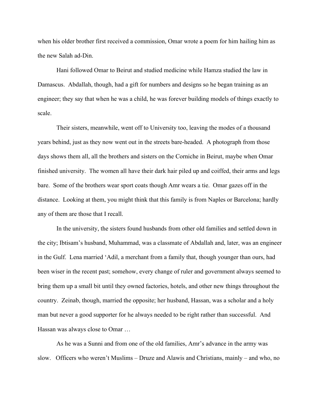when his older brother first received a commission, Omar wrote a poem for him hailing him as the new Salah ad-Din.

Hani followed Omar to Beirut and studied medicine while Hamza studied the law in Damascus. Abdallah, though, had a gift for numbers and designs so he began training as an engineer; they say that when he was a child, he was forever building models of things exactly to scale.

Their sisters, meanwhile, went off to University too, leaving the modes of a thousand years behind, just as they now went out in the streets bare-headed. A photograph from those days shows them all, all the brothers and sisters on the Corniche in Beirut, maybe when Omar finished university. The women all have their dark hair piled up and coiffed, their arms and legs bare. Some of the brothers wear sport coats though Amr wears a tie. Omar gazes off in the distance. Looking at them, you might think that this family is from Naples or Barcelona; hardly any of them are those that I recall.

In the university, the sisters found husbands from other old families and settled down in the city; Ibtisam's husband, Muhammad, was a classmate of Abdallah and, later, was an engineer in the Gulf. Lena married 'Adil, a merchant from a family that, though younger than ours, had been wiser in the recent past; somehow, every change of ruler and government always seemed to bring them up a small bit until they owned factories, hotels, and other new things throughout the country. Zeinab, though, married the opposite; her husband, Hassan, was a scholar and a holy man but never a good supporter for he always needed to be right rather than successful. And Hassan was always close to Omar …

As he was a Sunni and from one of the old families, Amr's advance in the army was slow. Officers who weren't Muslims – Druze and Alawis and Christians, mainly – and who, no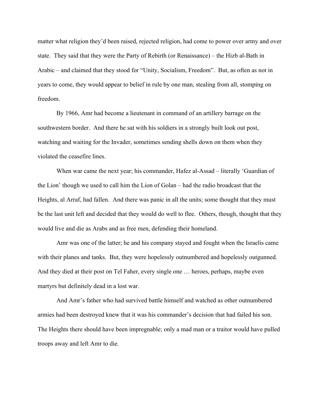matter what religion they'd been raised, rejected religion, had come to power over army and over state. They said that they were the Party of Rebirth (or Renaissance) – the Hizb al-Bath in Arabic – and claimed that they stood for "Unity, Socialism, Freedom". But, as often as not in years to come, they would appear to belief in rule by one man, stealing from all, stomping on freedom.

By 1966, Amr had become a lieutenant in command of an artillery barrage on the southwestern border. And there he sat with his soldiers in a strongly built look out post, watching and waiting for the Invader, sometimes sending shells down on them when they violated the ceasefire lines.

When war came the next year; his commander, Hafez al-Assad – literally 'Guardian of the Lion' though we used to call him the Lion of Golan – had the radio broadcast that the Heights, al Arraf, had fallen. And there was panic in all the units; some thought that they must be the last unit left and decided that they would do well to flee. Others, though, thought that they would live and die as Arabs and as free men, defending their homeland.

Amr was one of the latter; he and his company stayed and fought when the Israelis came with their planes and tanks. But, they were hopelessly outnumbered and hopelessly outgunned. And they died at their post on Tel Faher, every single one … heroes, perhaps, maybe even martyrs but definitely dead in a lost war.

And Amr's father who had survived battle himself and watched as other outnumbered armies had been destroyed knew that it was his commander's decision that had failed his son. The Heights there should have been impregnable; only a mad man or a traitor would have pulled troops away and left Amr to die.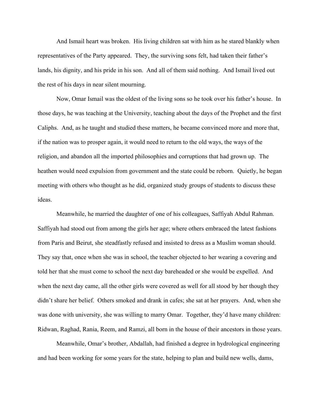And Ismail heart was broken. His living children sat with him as he stared blankly when representatives of the Party appeared. They, the surviving sons felt, had taken their father's lands, his dignity, and his pride in his son. And all of them said nothing. And Ismail lived out the rest of his days in near silent mourning.

Now, Omar Ismail was the oldest of the living sons so he took over his father's house. In those days, he was teaching at the University, teaching about the days of the Prophet and the first Caliphs. And, as he taught and studied these matters, he became convinced more and more that, if the nation was to prosper again, it would need to return to the old ways, the ways of the religion, and abandon all the imported philosophies and corruptions that had grown up. The heathen would need expulsion from government and the state could be reborn. Quietly, he began meeting with others who thought as he did, organized study groups of students to discuss these ideas.

Meanwhile, he married the daughter of one of his colleagues, Saffiyah Abdul Rahman. Saffiyah had stood out from among the girls her age; where others embraced the latest fashions from Paris and Beirut, she steadfastly refused and insisted to dress as a Muslim woman should. They say that, once when she was in school, the teacher objected to her wearing a covering and told her that she must come to school the next day bareheaded or she would be expelled. And when the next day came, all the other girls were covered as well for all stood by her though they didn't share her belief. Others smoked and drank in cafes; she sat at her prayers. And, when she was done with university, she was willing to marry Omar. Together, they'd have many children: Ridwan, Raghad, Rania, Reem, and Ramzi, all born in the house of their ancestors in those years.

Meanwhile, Omar's brother, Abdallah, had finished a degree in hydrological engineering and had been working for some years for the state, helping to plan and build new wells, dams,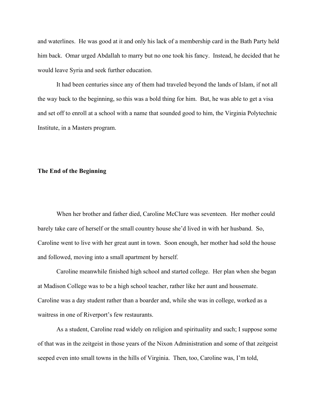and waterlines. He was good at it and only his lack of a membership card in the Bath Party held him back. Omar urged Abdallah to marry but no one took his fancy. Instead, he decided that he would leave Syria and seek further education.

It had been centuries since any of them had traveled beyond the lands of Islam, if not all the way back to the beginning, so this was a bold thing for him. But, he was able to get a visa and set off to enroll at a school with a name that sounded good to him, the Virginia Polytechnic Institute, in a Masters program.

# **The End of the Beginning**

When her brother and father died, Caroline McClure was seventeen. Her mother could barely take care of herself or the small country house she'd lived in with her husband. So, Caroline went to live with her great aunt in town. Soon enough, her mother had sold the house and followed, moving into a small apartment by herself.

Caroline meanwhile finished high school and started college. Her plan when she began at Madison College was to be a high school teacher, rather like her aunt and housemate. Caroline was a day student rather than a boarder and, while she was in college, worked as a waitress in one of Riverport's few restaurants.

As a student, Caroline read widely on religion and spirituality and such; I suppose some of that was in the zeitgeist in those years of the Nixon Administration and some of that zeitgeist seeped even into small towns in the hills of Virginia. Then, too, Caroline was, I'm told,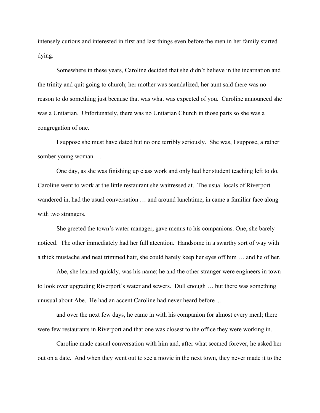intensely curious and interested in first and last things even before the men in her family started dying.

Somewhere in these years, Caroline decided that she didn't believe in the incarnation and the trinity and quit going to church; her mother was scandalized, her aunt said there was no reason to do something just because that was what was expected of you. Caroline announced she was a Unitarian. Unfortunately, there was no Unitarian Church in those parts so she was a congregation of one.

I suppose she must have dated but no one terribly seriously. She was, I suppose, a rather somber young woman …

One day, as she was finishing up class work and only had her student teaching left to do, Caroline went to work at the little restaurant she waitressed at. The usual locals of Riverport wandered in, had the usual conversation … and around lunchtime, in came a familiar face along with two strangers.

She greeted the town's water manager, gave menus to his companions. One, she barely noticed. The other immediately had her full ateention. Handsome in a swarthy sort of way with a thick mustache and neat trimmed hair, she could barely keep her eyes off him … and he of her.

Abe, she learned quickly, was his name; he and the other stranger were engineers in town to look over upgrading Riverport's water and sewers. Dull enough … but there was something unusual about Abe. He had an accent Caroline had never heard before ...

and over the next few days, he came in with his companion for almost every meal; there were few restaurants in Riverport and that one was closest to the office they were working in.

Caroline made casual conversation with him and, after what seemed forever, he asked her out on a date. And when they went out to see a movie in the next town, they never made it to the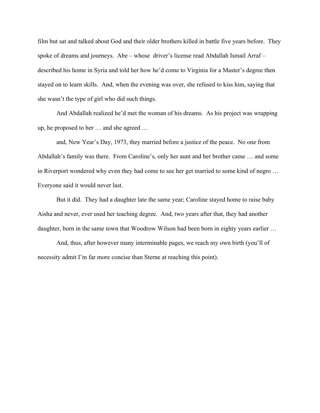film but sat and talked about God and their older brothers killed in battle five years before. They spoke of dreams and journeys. Abe – whose driver's license read Abdallah Ismail Arraf – described his home in Syria and told her how he'd come to Virginia for a Master's degree then stayed on to learn skills. And, when the evening was over, she refused to kiss him, saying that she wasn't the type of girl who did such things.

And Abdallah realized he'd met the woman of his dreams. As his project was wrapping up, he proposed to her … and she agreed …

and, New Year's Day, 1973, they married before a justice of the peace. No one from Abdallah's family was there. From Caroline's, only her aunt and her brother came … and some in Riverport wondered why even they had come to see her get married to some kind of negro … Everyone said it would never last.

But it did. They had a daughter late the same year; Caroline stayed home to raise baby Aisha and never, ever used her teaching degree. And, two years after that, they had another daughter, born in the same town that Woodrow Wilson had been born in eighty years earlier …

And, thus, after however many interminable pages, we reach my own birth (you'll of necessity admit I'm far more concise than Sterne at reaching this point).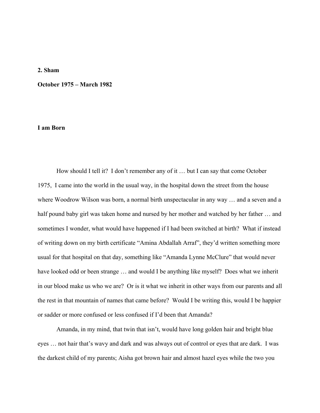# **2. Sham**

**October 1975 – March 1982**

### **I am Born**

How should I tell it? I don't remember any of it … but I can say that come October 1975, I came into the world in the usual way, in the hospital down the street from the house where Woodrow Wilson was born, a normal birth unspectacular in any way … and a seven and a half pound baby girl was taken home and nursed by her mother and watched by her father ... and sometimes I wonder, what would have happened if I had been switched at birth? What if instead of writing down on my birth certificate "Amina Abdallah Arraf", they'd written something more usual for that hospital on that day, something like "Amanda Lynne McClure" that would never have looked odd or been strange ... and would I be anything like myself? Does what we inherit in our blood make us who we are? Or is it what we inherit in other ways from our parents and all the rest in that mountain of names that came before? Would I be writing this, would I be happier or sadder or more confused or less confused if I'd been that Amanda?

Amanda, in my mind, that twin that isn't, would have long golden hair and bright blue eyes … not hair that's wavy and dark and was always out of control or eyes that are dark. I was the darkest child of my parents; Aisha got brown hair and almost hazel eyes while the two you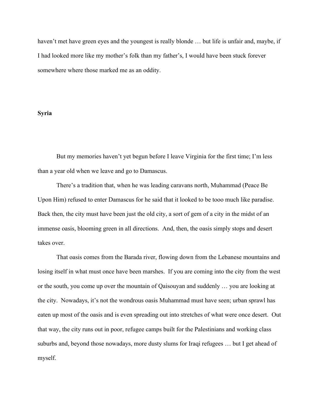haven't met have green eyes and the youngest is really blonde ... but life is unfair and, maybe, if I had looked more like my mother's folk than my father's, I would have been stuck forever somewhere where those marked me as an oddity.

### **Syria**

But my memories haven't yet begun before I leave Virginia for the first time; I'm less than a year old when we leave and go to Damascus.

There's a tradition that, when he was leading caravans north, Muhammad (Peace Be Upon Him) refused to enter Damascus for he said that it looked to be tooo much like paradise. Back then, the city must have been just the old city, a sort of gem of a city in the midst of an immense oasis, blooming green in all directions. And, then, the oasis simply stops and desert takes over.

That oasis comes from the Barada river, flowing down from the Lebanese mountains and losing itself in what must once have been marshes. If you are coming into the city from the west or the south, you come up over the mountain of Qaisouyan and suddenly … you are looking at the city. Nowadays, it's not the wondrous oasis Muhammad must have seen; urban sprawl has eaten up most of the oasis and is even spreading out into stretches of what were once desert. Out that way, the city runs out in poor, refugee camps built for the Palestinians and working class suburbs and, beyond those nowadays, more dusty slums for Iraqi refugees … but I get ahead of myself.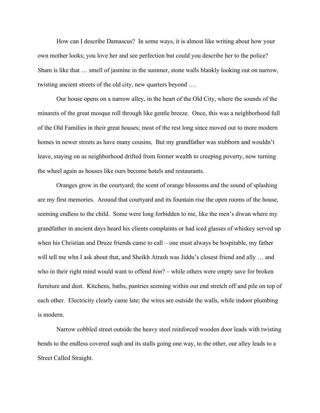How can I describe Damascus? In some ways, it is almost like writing about how your own mother looks; you love her and see perfection but could you describe her to the police? Sham is like that … smell of jasmine in the summer, stone walls blankly looking out on narrow, twisting ancient streets of the old city, new quarters beyond ….

Our house opens on a narrow alley, in the heart of the Old City, where the sounds of the minarets of the great mosque roll through like gentle breeze. Once, this was a neighborhood full of the Old Families in their great houses; most of the rest long since moved out to more modern homes in newer streets as have many cousins, But my grandfather was stubborn and wouldn't leave, staying on as neighborhood drifted from former wealth to creeping poverty, now turning the wheel again as houses like ours become hotels and restaurants.

Oranges grow in the courtyard; the scent of orange blossoms and the sound of splashing are my first memories. Around that courtyard and its fountain rise the open rooms of the house, seeming endless to the child. Some were long forbidden to me, like the men's diwan where my grandfather in ancient days heard his clients complaints or had iced glasses of whiskey served up when his Christian and Druze friends came to call – one must always be hospitable, my father will tell me whn I ask about that, and Sheikh Atrash was Jiddu's closest friend and ally … and who in their right mind would want to offend *him*? – while others were empty save for broken furniture and dust. Kitchens, baths, pantries seeming within out end stretch off and pile on top of each other. Electricity clearly came late; the wires are outside the walls, while indoor plumbing is modern.

Narrow cobbled street outside the heavy steel reinforced wooden door leads with twisting bends to the endless covered suqh and its stalls going one way, to the other, our alley leads to a Street Called Straight.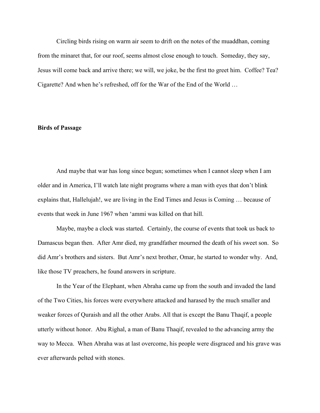Circling birds rising on warm air seem to drift on the notes of the muaddhan, coming from the minaret that, for our roof, seems almost close enough to touch. Someday, they say, Jesus will come back and arrive there; we will, we joke, be the first tto greet him. Coffee? Tea? Cigarette? And when he's refreshed, off for the War of the End of the World …

### **Birds of Passage**

And maybe that war has long since begun; sometimes when I cannot sleep when I am older and in America, I'll watch late night programs where a man with eyes that don't blink explains that, Hallelujah!, we are living in the End Times and Jesus is Coming … because of events that week in June 1967 when 'ammi was killed on that hill.

Maybe, maybe a clock was started. Certainly, the course of events that took us back to Damascus began then. After Amr died, my grandfather mourned the death of his sweet son. So did Amr's brothers and sisters. But Amr's next brother, Omar, he started to wonder why. And, like those TV preachers, he found answers in scripture.

In the Year of the Elephant, when Abraha came up from the south and invaded the land of the Two Cities, his forces were everywhere attacked and harased by the much smaller and weaker forces of Quraish and all the other Arabs. All that is except the Banu Thaqif, a people utterly without honor. Abu Righal, a man of Banu Thaqif, revealed to the advancing army the way to Mecca. When Abraha was at last overcome, his people were disgraced and his grave was ever afterwards pelted with stones.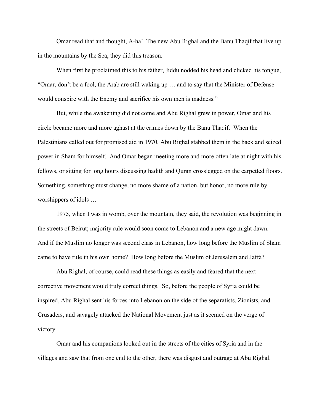Omar read that and thought, A-ha! The new Abu Righal and the Banu Thaqif that live up in the mountains by the Sea, they did this treason.

When first he proclaimed this to his father, Jiddu nodded his head and clicked his tongue, "Omar, don't be a fool, the Arab are still waking up … and to say that the Minister of Defense would conspire with the Enemy and sacrifice his own men is madness."

But, while the awakening did not come and Abu Righal grew in power, Omar and his circle became more and more aghast at the crimes down by the Banu Thaqif. When the Palestinians called out for promised aid in 1970, Abu Righal stabbed them in the back and seized power in Sham for himself. And Omar began meeting more and more often late at night with his fellows, or sitting for long hours discussing hadith and Quran crosslegged on the carpetted floors. Something, something must change, no more shame of a nation, but honor, no more rule by worshippers of idols …

1975, when I was in womb, over the mountain, they said, the revolution was beginning in the streets of Beirut; majority rule would soon come to Lebanon and a new age might dawn. And if the Muslim no longer was second class in Lebanon, how long before the Muslim of Sham came to have rule in his own home? How long before the Muslim of Jerusalem and Jaffa?

Abu Righal, of course, could read these things as easily and feared that the next corrective movement would truly correct things. So, before the people of Syria could be inspired, Abu Righal sent his forces into Lebanon on the side of the separatists, Zionists, and Crusaders, and savagely attacked the National Movement just as it seemed on the verge of victory.

Omar and his companions looked out in the streets of the cities of Syria and in the villages and saw that from one end to the other, there was disgust and outrage at Abu Righal.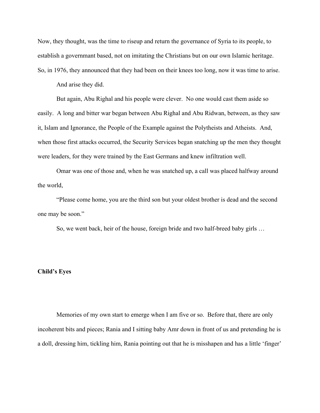Now, they thought, was the time to riseup and return the governance of Syria to its people, to establish a governmant based, not on imitating the Christians but on our own Islamic heritage. So, in 1976, they announced that they had been on their knees too long, now it was time to arise.

And arise they did.

But again, Abu Righal and his people were clever. No one would cast them aside so easily. A long and bitter war began between Abu Righal and Abu Ridwan, between, as they saw it, Islam and Ignorance, the People of the Example against the Polytheists and Atheists. And, when those first attacks occurred, the Security Services began snatching up the men they thought were leaders, for they were trained by the East Germans and knew infiltration well.

Omar was one of those and, when he was snatched up, a call was placed halfway around the world,

"Please come home, you are the third son but your oldest brother is dead and the second one may be soon."

So, we went back, heir of the house, foreign bride and two half-breed baby girls …

#### **Child's Eyes**

Memories of my own start to emerge when I am five or so. Before that, there are only incoherent bits and pieces; Rania and I sitting baby Amr down in front of us and pretending he is a doll, dressing him, tickling him, Rania pointing out that he is misshapen and has a little 'finger'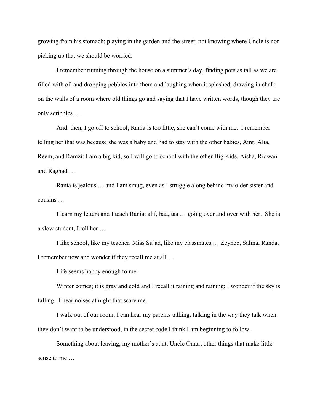growing from his stomach; playing in the garden and the street; not knowing where Uncle is nor picking up that we should be worried.

I remember running through the house on a summer's day, finding pots as tall as we are filled with oil and dropping pebbles into them and laughing when it splashed, drawing in chalk on the walls of a room where old things go and saying that I have written words, though they are only scribbles …

And, then, I go off to school; Rania is too little, she can't come with me. I remember telling her that was because she was a baby and had to stay with the other babies, Amr, Alia, Reem, and Ramzi: I am a big kid, so I will go to school with the other Big Kids, Aisha, Ridwan and Raghad ….

Rania is jealous … and I am smug, even as I struggle along behind my older sister and cousins …

I learn my letters and I teach Rania: alif, baa, taa … going over and over with her. She is a slow student, I tell her …

I like school, like my teacher, Miss Su'ad, like my classmates … Zeyneb, Salma, Randa, I remember now and wonder if they recall me at all …

Life seems happy enough to me.

Winter comes; it is gray and cold and I recall it raining and raining; I wonder if the sky is falling. I hear noises at night that scare me.

I walk out of our room; I can hear my parents talking, talking in the way they talk when they don't want to be understood, in the secret code I think I am beginning to follow.

Something about leaving, my mother's aunt, Uncle Omar, other things that make little sense to me …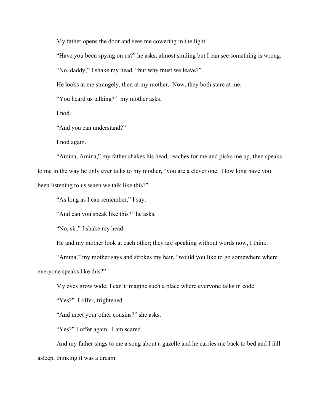My father opens the door and sees me cowering in the light.

"Have you been spying on us?" he asks, almost smiling but I can see something is wrong.

"No, daddy," I shake my head, "but why must we leave?"

He looks at me strangely, then at my mother. Now, they both stare at me.

"You heard us talking?" my mother asks.

I nod.

"And you can understand?"

I nod again.

"Amina, Amina," my father shakes his head, reaches for me and picks me up, then speaks to me in the way he only ever talks to my mother, "you are a clever one. How long have you been listening to us when we talk like this?"

"As long as I can remember," I say.

"And can you speak like this?" he asks.

"No, sir," I shake my head.

He and my mother look at each other; they are speaking without words now, I think.

"Amina," my mother says and strokes my hair, "would you like to go somewhere where everyone speaks like this?"

My eyes grow wide; I can't imagine such a place where everyone talks in code.

"Yes?" I offer, frightened.

"And meet your other cousins?" she asks.

"Yes?" I offer again. I am scared.

And my father sings to me a song about a gazelle and he carries me back to bed and I fall asleep, thinking it was a dream.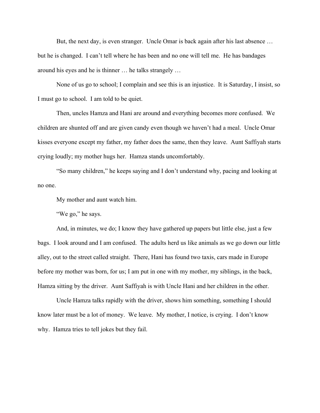But, the next day, is even stranger. Uncle Omar is back again after his last absence … but he is changed. I can't tell where he has been and no one will tell me. He has bandages around his eyes and he is thinner … he talks strangely …

None of us go to school; I complain and see this is an injustice. It is Saturday, I insist, so I must go to school. I am told to be quiet.

Then, uncles Hamza and Hani are around and everything becomes more confused. We children are shunted off and are given candy even though we haven't had a meal. Uncle Omar kisses everyone except my father, my father does the same, then they leave. Aunt Saffiyah starts crying loudly; my mother hugs her. Hamza stands uncomfortably.

"So many children," he keeps saying and I don't understand why, pacing and looking at no one.

My mother and aunt watch him.

"We go," he says.

And, in minutes, we do; I know they have gathered up papers but little else, just a few bags. I look around and I am confused. The adults herd us like animals as we go down our little alley, out to the street called straight. There, Hani has found two taxis, cars made in Europe before my mother was born, for us; I am put in one with my mother, my siblings, in the back, Hamza sitting by the driver. Aunt Saffiyah is with Uncle Hani and her children in the other.

Uncle Hamza talks rapidly with the driver, shows him something, something I should know later must be a lot of money. We leave. My mother, I notice, is crying. I don't know why. Hamza tries to tell jokes but they fail.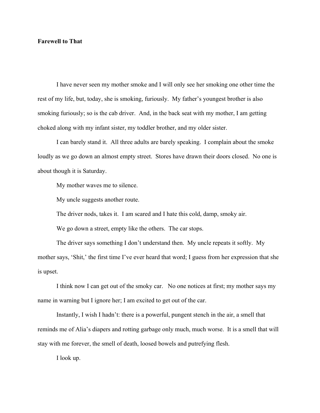### **Farewell to That**

I have never seen my mother smoke and I will only see her smoking one other time the rest of my life, but, today, she is smoking, furiously. My father's youngest brother is also smoking furiously; so is the cab driver. And, in the back seat with my mother, I am getting choked along with my infant sister, my toddler brother, and my older sister.

I can barely stand it. All three adults are barely speaking. I complain about the smoke loudly as we go down an almost empty street. Stores have drawn their doors closed. No one is about though it is Saturday.

My mother waves me to silence.

My uncle suggests another route.

The driver nods, takes it. I am scared and I hate this cold, damp, smoky air.

We go down a street, empty like the others. The car stops.

The driver says something I don't understand then. My uncle repeats it softly. My mother says, 'Shit,' the first time I've ever heard that word; I guess from her expression that she is upset.

I think now I can get out of the smoky car. No one notices at first; my mother says my name in warning but I ignore her; I am excited to get out of the car.

Instantly, I wish I hadn't: there is a powerful, pungent stench in the air, a smell that reminds me of Alia's diapers and rotting garbage only much, much worse. It is a smell that will stay with me forever, the smell of death, loosed bowels and putrefying flesh.

I look up.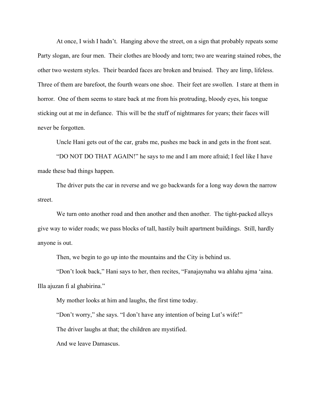At once, I wish I hadn't. Hanging above the street, on a sign that probably repeats some Party slogan, are four men. Their clothes are bloody and torn; two are wearing stained robes, the other two western styles. Their bearded faces are broken and bruised. They are limp, lifeless. Three of them are barefoot, the fourth wears one shoe. Their feet are swollen. I stare at them in horror. One of them seems to stare back at me from his protruding, bloody eyes, his tongue sticking out at me in defiance. This will be the stuff of nightmares for years; their faces will never be forgotten.

Uncle Hani gets out of the car, grabs me, pushes me back in and gets in the front seat.

"DO NOT DO THAT AGAIN!" he says to me and I am more afraid; I feel like I have made these bad things happen.

The driver puts the car in reverse and we go backwards for a long way down the narrow street.

We turn onto another road and then another and then another. The tight-packed alleys give way to wider roads; we pass blocks of tall, hastily built apartment buildings. Still, hardly anyone is out.

Then, we begin to go up into the mountains and the City is behind us.

"Don't look back," Hani says to her, then recites, "Fanajaynahu wa ahlahu ajma 'aina. Illa ajuzan fi al ghabirina."

My mother looks at him and laughs, the first time today.

"Don't worry," she says. "I don't have any intention of being Lut's wife!"

The driver laughs at that; the children are mystified.

And we leave Damascus.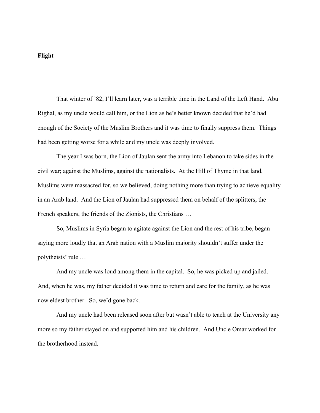# **Flight**

That winter of '82, I'll learn later, was a terrible time in the Land of the Left Hand. Abu Righal, as my uncle would call him, or the Lion as he's better known decided that he'd had enough of the Society of the Muslim Brothers and it was time to finally suppress them. Things had been getting worse for a while and my uncle was deeply involved.

The year I was born, the Lion of Jaulan sent the army into Lebanon to take sides in the civil war; against the Muslims, against the nationalists. At the Hill of Thyme in that land, Muslims were massacred for, so we believed, doing nothing more than trying to achieve equality in an Arab land. And the Lion of Jaulan had suppressed them on behalf of the splitters, the French speakers, the friends of the Zionists, the Christians …

So, Muslims in Syria began to agitate against the Lion and the rest of his tribe, began saying more loudly that an Arab nation with a Muslim majority shouldn't suffer under the polytheists' rule …

And my uncle was loud among them in the capital. So, he was picked up and jailed. And, when he was, my father decided it was time to return and care for the family, as he was now eldest brother. So, we'd gone back.

And my uncle had been released soon after but wasn't able to teach at the University any more so my father stayed on and supported him and his children. And Uncle Omar worked for the brotherhood instead.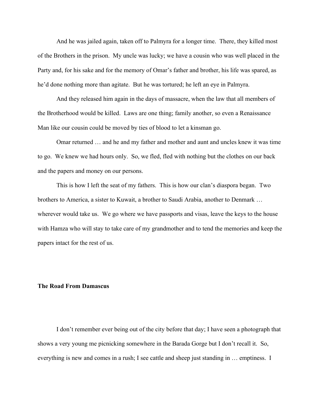And he was jailed again, taken off to Palmyra for a longer time. There, they killed most of the Brothers in the prison. My uncle was lucky; we have a cousin who was well placed in the Party and, for his sake and for the memory of Omar's father and brother, his life was spared, as he'd done nothing more than agitate. But he was tortured; he left an eye in Palmyra.

And they released him again in the days of massacre, when the law that all members of the Brotherhood would be killed. Laws are one thing; family another, so even a Renaissance Man like our cousin could be moved by ties of blood to let a kinsman go.

Omar returned … and he and my father and mother and aunt and uncles knew it was time to go. We knew we had hours only. So, we fled, fled with nothing but the clothes on our back and the papers and money on our persons.

This is how I left the seat of my fathers. This is how our clan's diaspora began. Two brothers to America, a sister to Kuwait, a brother to Saudi Arabia, another to Denmark … wherever would take us. We go where we have passports and visas, leave the keys to the house with Hamza who will stay to take care of my grandmother and to tend the memories and keep the papers intact for the rest of us.

# **The Road From Damascus**

I don't remember ever being out of the city before that day; I have seen a photograph that shows a very young me picnicking somewhere in the Barada Gorge but I don't recall it. So, everything is new and comes in a rush; I see cattle and sheep just standing in … emptiness. I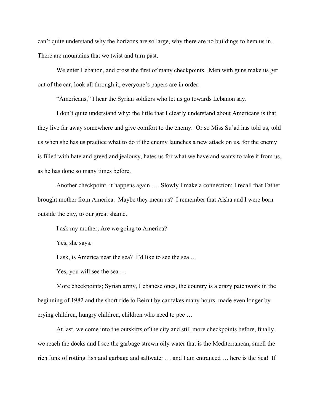can't quite understand why the horizons are so large, why there are no buildings to hem us in. There are mountains that we twist and turn past.

We enter Lebanon, and cross the first of many checkpoints. Men with guns make us get out of the car, look all through it, everyone's papers are in order.

"Americans," I hear the Syrian soldiers who let us go towards Lebanon say.

I don't quite understand why; the little that I clearly understand about Americans is that they live far away somewhere and give comfort to the enemy. Or so Miss Su'ad has told us, told us when she has us practice what to do if the enemy launches a new attack on us, for the enemy is filled with hate and greed and jealousy, hates us for what we have and wants to take it from us, as he has done so many times before.

Another checkpoint, it happens again …. Slowly I make a connection; I recall that Father brought mother from America. Maybe they mean us? I remember that Aisha and I were born outside the city, to our great shame.

I ask my mother, Are we going to America?

Yes, she says.

I ask, is America near the sea? I'd like to see the sea …

Yes, you will see the sea …

More checkpoints; Syrian army, Lebanese ones, the country is a crazy patchwork in the beginning of 1982 and the short ride to Beirut by car takes many hours, made even longer by crying children, hungry children, children who need to pee …

At last, we come into the outskirts of the city and still more checkpoints before, finally, we reach the docks and I see the garbage strewn oily water that is the Mediterranean, smell the rich funk of rotting fish and garbage and saltwater … and I am entranced … here is the Sea! If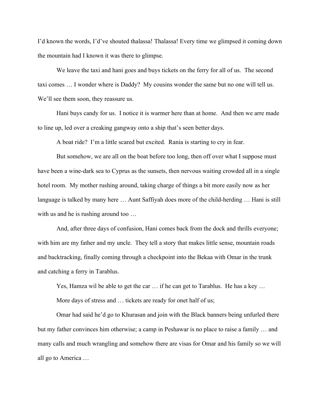I'd known the words, I'd've shouted thalassa! Thalassa! Every time we glimpsed it coming down the mountain had I known it was there to glimpse.

We leave the taxi and hani goes and buys tickets on the ferry for all of us. The second taxi comes … I wonder where is Daddy? My cousins wonder the same but no one will tell us. We'll see them soon, they reassure us.

Hani buys candy for us. I notice it is warmer here than at home. And then we arre made to line up, led over a creaking gangway onto a ship that's seen better days.

A boat ride? I'm a little scared but excited. Rania is starting to cry in fear.

But somehow, we are all on the boat before too long, then off over what I suppose must have been a wine-dark sea to Cyprus as the sunsets, then nervous waiting crowded all in a single hotel room. My mother rushing around, taking charge of things a bit more easily now as her language is talked by many here … Aunt Saffiyah does more of the child-herding … Hani is still with us and he is rushing around too ...

And, after three days of confusion, Hani comes back from the dock and thrills everyone; with him are my father and my uncle. They tell a story that makes little sense, mountain roads and backtracking, finally coming through a checkpoint into the Bekaa with Omar in the trunk and catching a ferry in Tarablus.

Yes, Hamza wil be able to get the car … if he can get to Tarablus. He has a key …

More days of stress and ... tickets are ready for onet half of us;

Omar had said he'd go to Khurasan and join with the Black banners being unfurled there but my father convinces him otherwise; a camp in Peshawar is no place to raise a family … and many calls and much wrangling and somehow there are visas for Omar and his family so we will all go to America …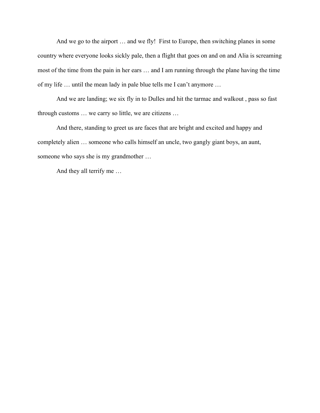And we go to the airport … and we fly! First to Europe, then switching planes in some country where everyone looks sickly pale, then a flight that goes on and on and Alia is screaming most of the time from the pain in her ears … and I am running through the plane having the time of my life … until the mean lady in pale blue tells me I can't anymore …

And we are landing; we six fly in to Dulles and hit the tarmac and walkout , pass so fast through customs … we carry so little, we are citizens …

And there, standing to greet us are faces that are bright and excited and happy and completely alien … someone who calls himself an uncle, two gangly giant boys, an aunt, someone who says she is my grandmother …

And they all terrify me …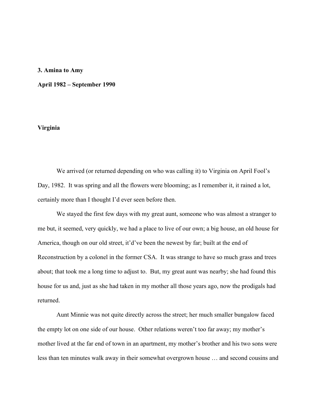# **3. Amina to Amy**

#### **April 1982 – September 1990**

# **Virginia**

We arrived (or returned depending on who was calling it) to Virginia on April Fool's Day, 1982. It was spring and all the flowers were blooming; as I remember it, it rained a lot, certainly more than I thought I'd ever seen before then.

We stayed the first few days with my great aunt, someone who was almost a stranger to me but, it seemed, very quickly, we had a place to live of our own; a big house, an old house for America, though on our old street, it'd've been the newest by far; built at the end of Reconstruction by a colonel in the former CSA. It was strange to have so much grass and trees about; that took me a long time to adjust to. But, my great aunt was nearby; she had found this house for us and, just as she had taken in my mother all those years ago, now the prodigals had returned.

Aunt Minnie was not quite directly across the street; her much smaller bungalow faced the empty lot on one side of our house. Other relations weren't too far away; my mother's mother lived at the far end of town in an apartment, my mother's brother and his two sons were less than ten minutes walk away in their somewhat overgrown house … and second cousins and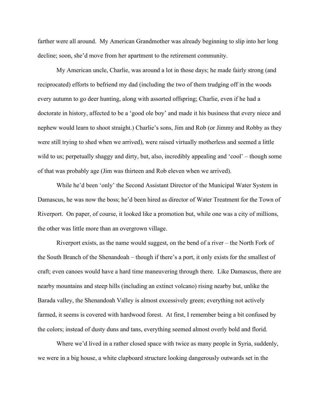farther were all around. My American Grandmother was already beginning to slip into her long decline; soon, she'd move from her apartment to the retirement community.

My American uncle, Charlie, was around a lot in those days; he made fairly strong (and reciprocated) efforts to befriend my dad (including the two of them trudging off in the woods every autumn to go deer hunting, along with assorted offspring; Charlie, even if he had a doctorate in history, affected to be a 'good ole boy' and made it his business that every niece and nephew would learn to shoot straight.) Charlie's sons, Jim and Rob (or Jimmy and Robby as they were still trying to shed when we arrived), were raised virtually motherless and seemed a little wild to us; perpetually shaggy and dirty, but, also, incredibly appealing and 'cool' – though some of that was probably age (Jim was thirteen and Rob eleven when we arrived).

While he'd been 'only' the Second Assistant Director of the Municipal Water System in Damascus, he was now the boss; he'd been hired as director of Water Treatment for the Town of Riverport. On paper, of course, it looked like a promotion but, while one was a city of millions, the other was little more than an overgrown village.

Riverport exists, as the name would suggest, on the bend of a river – the North Fork of the South Branch of the Shenandoah – though if there's a port, it only exists for the smallest of craft; even canoes would have a hard time maneuvering through there. Like Damascus, there are nearby mountains and steep hills (including an extinct volcano) rising nearby but, unlike the Barada valley, the Shenandoah Valley is almost excessively green; everything not actively farmed, it seems is covered with hardwood forest. At first, I remember being a bit confused by the colors; instead of dusty duns and tans, everything seemed almost overly bold and florid.

Where we'd lived in a rather closed space with twice as many people in Syria, suddenly, we were in a big house, a white clapboard structure looking dangerously outwards set in the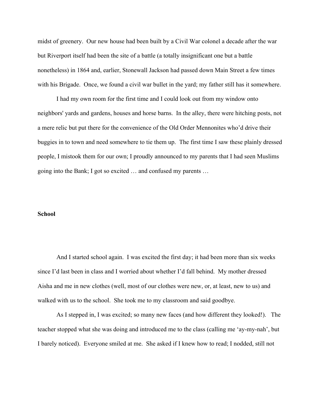midst of greenery. Our new house had been built by a Civil War colonel a decade after the war but Riverport itself had been the site of a battle (a totally insignificant one but a battle nonetheless) in 1864 and, earlier, Stonewall Jackson had passed down Main Street a few times with his Brigade. Once, we found a civil war bullet in the yard; my father still has it somewhere.

I had my own room for the first time and I could look out from my window onto neighbors' yards and gardens, houses and horse barns. In the alley, there were hitching posts, not a mere relic but put there for the convenience of the Old Order Mennonites who'd drive their buggies in to town and need somewhere to tie them up. The first time I saw these plainly dressed people, I mistook them for our own; I proudly announced to my parents that I had seen Muslims going into the Bank; I got so excited … and confused my parents …

#### **School**

And I started school again. I was excited the first day; it had been more than six weeks since I'd last been in class and I worried about whether I'd fall behind. My mother dressed Aisha and me in new clothes (well, most of our clothes were new, or, at least, new to us) and walked with us to the school. She took me to my classroom and said goodbye.

As I stepped in, I was excited; so many new faces (and how different they looked!). The teacher stopped what she was doing and introduced me to the class (calling me 'ay-my-nah', but I barely noticed). Everyone smiled at me. She asked if I knew how to read; I nodded, still not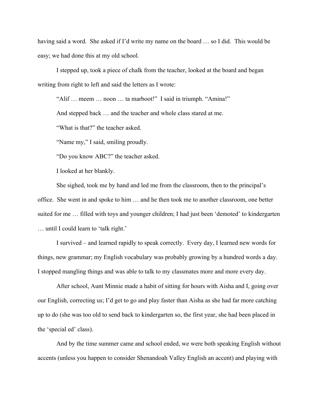having said a word. She asked if I'd write my name on the board … so I did. This would be easy; we had done this at my old school.

I stepped up, took a piece of chalk from the teacher, looked at the board and began writing from right to left and said the letters as I wrote:

"Alif … meem … noon … ta marboot!" I said in triumph. "Amina!"

And stepped back … and the teacher and whole class stared at me.

"What is that?" the teacher asked.

"Name my," I said, smiling proudly.

"Do you know ABC?" the teacher asked.

I looked at her blankly.

She sighed, took me by hand and led me from the classroom, then to the principal's office. She went in and spoke to him … and he then took me to another classroom, one better suited for me … filled with toys and younger children; I had just been 'demoted' to kindergarten … until I could learn to 'talk right.'

I survived – and learned rapidly to speak correctly. Every day, I learned new words for things, new grammar; my English vocabulary was probably growing by a hundred words a day. I stopped mangling things and was able to talk to my classmates more and more every day.

After school, Aunt Minnie made a habit of sitting for hours with Aisha and I, going over our English, correcting us; I'd get to go and play faster than Aisha as she had far more catching up to do (she was too old to send back to kindergarten so, the first year, she had been placed in the 'special ed' class).

And by the time summer came and school ended, we were both speaking English without accents (unless you happen to consider Shenandoah Valley English an accent) and playing with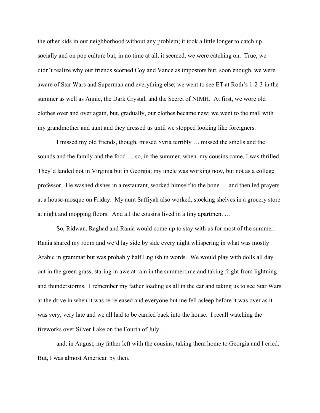the other kids in our neighborhood without any problem; it took a little longer to catch up socially and on pop culture but, in no time at all, it seemed, we were catching on. True, we didn't realize why our friends scorned Coy and Vance as impostors but, soon enough, we were aware of Star Wars and Superman and everything else; we went to see ET at Roth's 1-2-3 in the summer as well as Annie, the Dark Crystal, and the Secret of NIMH. At first, we wore old clothes over and over again, but, gradually, our clothes became new; we went to the mall with my grandmother and aunt and they dressed us until we stopped looking like foreigners.

I missed my old friends, though, missed Syria terribly … missed the smells and the sounds and the family and the food … so, in the summer, when my cousins came, I was thrilled. They'd landed not in Virginia but in Georgia; my uncle was working now, but not as a college professor. He washed dishes in a restaurant, worked himself to the bone … and then led prayers at a house-mosque on Friday. My aunt Saffiyah also worked, stocking shelves in a grocery store at night and mopping floors. And all the cousins lived in a tiny apartment …

So, Ridwan, Raghad and Rania would come up to stay with us for most of the summer. Rania shared my room and we'd lay side by side every night whispering in what was mostly Arabic in grammar but was probably half English in words. We would play with dolls all day out in the green grass, staring in awe at rain in the summertime and taking fright from lightning and thunderstorms. I remember my father loading us all in the car and taking us to see Star Wars at the drive in when it was re-released and everyone but me fell asleep before it was over as it was very, very late and we all had to be carried back into the house. I recall watching the fireworks over Silver Lake on the Fourth of July …

and, in August, my father left with the cousins, taking them home to Georgia and I cried. But, I was almost American by then.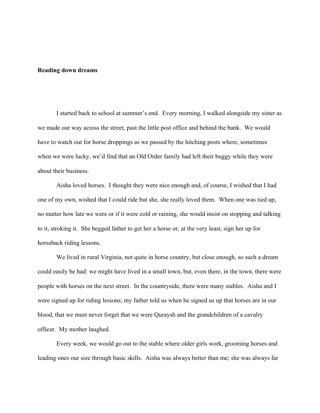### **Reading down dreams**

I started back to school at summer's end. Every morning, I walked alongside my sister as we made our way across the street, past the little post office and behind the bank. We would have to watch out for horse droppings as we passed by the hitching posts where, sometimes when we were lucky, we'd find that an Old Order family had left their buggy while they were about their business.

Aisha loved horses. I thought they were nice enough and, of course, I wished that I had one of my own, wished that I could ride but she, she really loved them. When one was tied up, no matter how late we were or if it were cold or raining, she would insist on stopping and talking to it, stroking it. She begged father to get her a horse or, at the very least, sign her up for horseback riding lessons.

We lived in rural Virginia, not quite in horse country, but close enough, so such a dream could easily be had: we might have lived in a small town, but, even there, in the town, there were people with horses on the next street. In the countryside, there were many stables. Aisha and I were signed up for riding lessons; my father told us when he signed us up that horses are in our blood, that we must never forget that we were Quraysh and the grandchildren of a cavalry officer. My mother laughed.

Every week, we would go out to the stable where older girls work, grooming horses and leading ones our size through basic skills. Aisha was always better than me; she was always far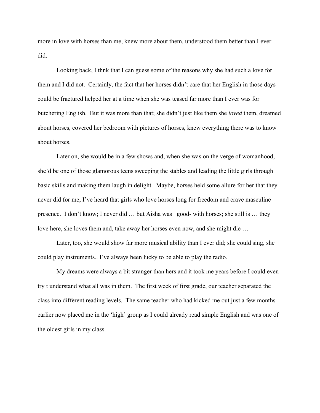more in love with horses than me, knew more about them, understood them better than I ever did.

Looking back, I thnk that I can guess some of the reasons why she had such a love for them and I did not. Certainly, the fact that her horses didn't care that her English in those days could be fractured helped her at a time when she was teased far more than I ever was for butchering English. But it was more than that; she didn't just like them she *loved* them, dreamed about horses, covered her bedroom with pictures of horses, knew everything there was to know about horses.

Later on, she would be in a few shows and, when she was on the verge of womanhood, she'd be one of those glamorous teens sweeping the stables and leading the little girls through basic skills and making them laugh in delight. Maybe, horses held some allure for her that they never did for me; I've heard that girls who love horses long for freedom and crave masculine presence. I don't know; I never did … but Aisha was \_good- with horses; she still is … they love here, she loves them and, take away her horses even now, and she might die …

Later, too, she would show far more musical ability than I ever did; she could sing, she could play instruments.. I've always been lucky to be able to play the radio.

My dreams were always a bit stranger than hers and it took me years before I could even try t understand what all was in them. The first week of first grade, our teacher separated the class into different reading levels. The same teacher who had kicked me out just a few months earlier now placed me in the 'high' group as I could already read simple English and was one of the oldest girls in my class.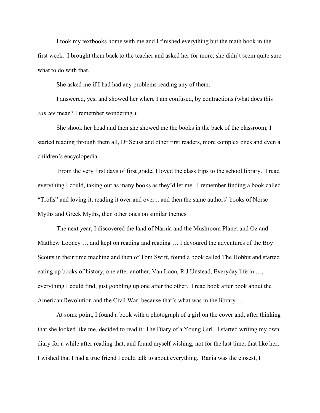I took my textbooks home with me and I finished everything but the math book in the first week. I brought them back to the teacher and asked her for more; she didn't seem quite sure what to do with that.

She asked me if I had had any problems reading any of them.

I answered, yes, and showed her where I am confused, by contractions (what does this *can tee* mean? I remember wondering.).

She shook her head and then she showed me the books in the back of the classroom; I started reading through them all, Dr Seuss and other first readers, more complex ones and even a children's encyclopedia.

 From the very first days of first grade, I loved the class trips to the school library. I read everything I could, taking out as many books as they'd let me. I remember finding a book called "Trolls" and loving it, reading it over and over .. and then the same authors' books of Norse Myths and Greek Myths, then other ones on similar themes.

The next year, I discovered the land of Narnia and the Mushroom Planet and Oz and Matthew Looney … and kept on reading and reading … I devoured the adventures of the Boy Scouts in their time machine and then of Tom Swift, found a book called The Hobbit and started eating up books of history, one after another, Van Loon, R J Unstead, Everyday life in …, everything I could find, just gobbling up one after the other. I read book after book about the American Revolution and the Civil War, because that's what was in the library …

At some point, I found a book with a photograph of a girl on the cover and, after thinking that she looked like me, decided to read it: The Diary of a Young Girl. I started writing my own diary for a while after reading that, and found myself wishing, not for the last time, that like her, I wished that I had a true friend I could talk to about everything. Rania was the closest, I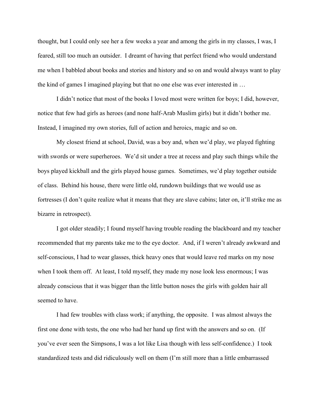thought, but I could only see her a few weeks a year and among the girls in my classes, I was, I feared, still too much an outsider. I dreamt of having that perfect friend who would understand me when I babbled about books and stories and history and so on and would always want to play the kind of games I imagined playing but that no one else was ever interested in …

I didn't notice that most of the books I loved most were written for boys; I did, however, notice that few had girls as heroes (and none half-Arab Muslim girls) but it didn't bother me. Instead, I imagined my own stories, full of action and heroics, magic and so on.

My closest friend at school, David, was a boy and, when we'd play, we played fighting with swords or were superheroes. We'd sit under a tree at recess and play such things while the boys played kickball and the girls played house games. Sometimes, we'd play together outside of class. Behind his house, there were little old, rundown buildings that we would use as fortresses (I don't quite realize what it means that they are slave cabins; later on, it'll strike me as bizarre in retrospect).

I got older steadily; I found myself having trouble reading the blackboard and my teacher recommended that my parents take me to the eye doctor. And, if I weren't already awkward and self-conscious, I had to wear glasses, thick heavy ones that would leave red marks on my nose when I took them off. At least, I told myself, they made my nose look less enormous; I was already conscious that it was bigger than the little button noses the girls with golden hair all seemed to have.

I had few troubles with class work; if anything, the opposite. I was almost always the first one done with tests, the one who had her hand up first with the answers and so on. (If you've ever seen the Simpsons, I was a lot like Lisa though with less self-confidence.) I took standardized tests and did ridiculously well on them (I'm still more than a little embarrassed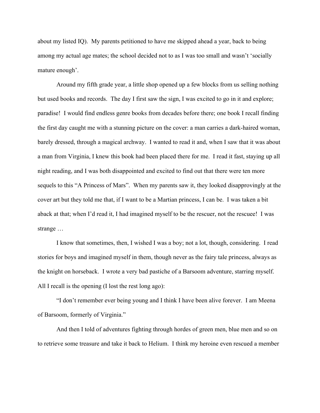about my listed IQ). My parents petitioned to have me skipped ahead a year, back to being among my actual age mates; the school decided not to as I was too small and wasn't 'socially mature enough'.

Around my fifth grade year, a little shop opened up a few blocks from us selling nothing but used books and records. The day I first saw the sign, I was excited to go in it and explore; paradise! I would find endless genre books from decades before there; one book I recall finding the first day caught me with a stunning picture on the cover: a man carries a dark-haired woman, barely dressed, through a magical archway. I wanted to read it and, when I saw that it was about a man from Virginia, I knew this book had been placed there for me. I read it fast, staying up all night reading, and I was both disappointed and excited to find out that there were ten more sequels to this "A Princess of Mars". When my parents saw it, they looked disapprovingly at the cover art but they told me that, if I want to be a Martian princess, I can be. I was taken a bit aback at that; when I'd read it, I had imagined myself to be the rescuer, not the rescuee! I was strange …

I know that sometimes, then, I wished I was a boy; not a lot, though, considering. I read stories for boys and imagined myself in them, though never as the fairy tale princess, always as the knight on horseback. I wrote a very bad pastiche of a Barsoom adventure, starring myself. All I recall is the opening (I lost the rest long ago):

"I don't remember ever being young and I think I have been alive forever. I am Meena of Barsoom, formerly of Virginia."

And then I told of adventures fighting through hordes of green men, blue men and so on to retrieve some treasure and take it back to Helium. I think my heroine even rescued a member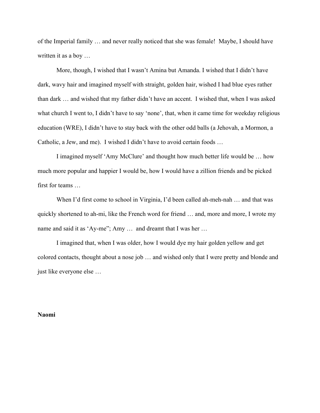of the Imperial family … and never really noticed that she was female! Maybe, I should have written it as a boy …

More, though, I wished that I wasn't Amina but Amanda. I wished that I didn't have dark, wavy hair and imagined myself with straight, golden hair, wished I had blue eyes rather than dark … and wished that my father didn't have an accent. I wished that, when I was asked what church I went to, I didn't have to say 'none', that, when it came time for weekday religious education (WRE), I didn't have to stay back with the other odd balls (a Jehovah, a Mormon, a Catholic, a Jew, and me). I wished I didn't have to avoid certain foods …

I imagined myself 'Amy McClure' and thought how much better life would be … how much more popular and happier I would be, how I would have a zillion friends and be picked first for teams …

When I'd first come to school in Virginia, I'd been called ah-meh-nah ... and that was quickly shortened to ah-mi, like the French word for friend … and, more and more, I wrote my name and said it as 'Ay-me''; Amy ... and dreamt that I was her ...

I imagined that, when I was older, how I would dye my hair golden yellow and get colored contacts, thought about a nose job … and wished only that I were pretty and blonde and just like everyone else …

#### **Naomi**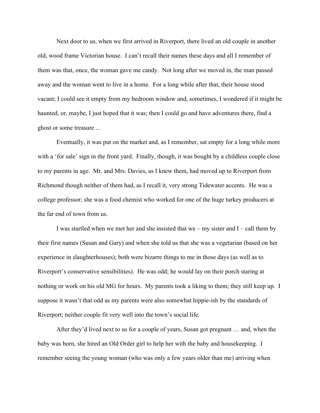Next door to us, when we first arrived in Riverport, there lived an old couple in another old, wood frame Victorian house. I can't recall their names these days and all I remember of them was that, once, the woman gave me candy. Not long after we moved in, the man passed away and the woman went to live in a home. For a long while after that, their house stood vacant; I could see it empty from my bedroom window and, sometimes, I wondered if it might be haunted, or, maybe, I just hoped that it was; then I could go and have adventures there, find a ghost or some treasure ...

Eventually, it was put on the market and, as I remember, sat empty for a long while more with a 'for sale' sign in the front yard. Finally, though, it was bought by a childless couple close to my parents in age. Mr. and Mrs. Davies, as I knew them, had moved up to Riverport from Richmond though neither of them had, as I recall it, very strong Tidewater accents. He was a college professor; she was a food chemist who worked for one of the huge turkey producers at the far end of town from us.

I was startled when we met her and she insisted that we – my sister and I – call them by their first names (Susan and Gary) and when she told us that she was a vegetarian (based on her experience in slaughterhouses); both were bizarre things to me in those days (as well as to Riverport's conservative sensibilities). He was odd; he would lay on their porch staring at nothing or work on his old MG for hours. My parents took a liking to them; they still keep up. I suppose it wasn't that odd as my parents were also somewhat hippie-ish by the standards of Riverport; neither couple fit very well into the town's social life.

After they'd lived next to us for a couple of years, Susan got pregnant … and, when the baby was born, she hired an Old Order girl to help her with the baby and housekeeping. I remember seeing the young woman (who was only a few years older than me) arriving when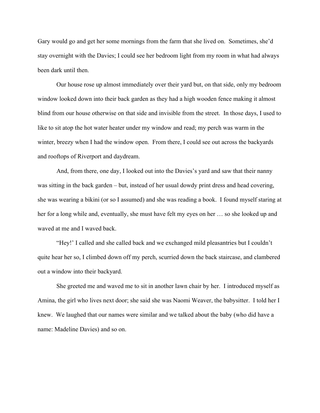Gary would go and get her some mornings from the farm that she lived on. Sometimes, she'd stay overnight with the Davies; I could see her bedroom light from my room in what had always been dark until then.

Our house rose up almost immediately over their yard but, on that side, only my bedroom window looked down into their back garden as they had a high wooden fence making it almost blind from our house otherwise on that side and invisible from the street. In those days, I used to like to sit atop the hot water heater under my window and read; my perch was warm in the winter, breezy when I had the window open. From there, I could see out across the backyards and rooftops of Riverport and daydream.

And, from there, one day, I looked out into the Davies's yard and saw that their nanny was sitting in the back garden – but, instead of her usual dowdy print dress and head covering, she was wearing a bikini (or so I assumed) and she was reading a book. I found myself staring at her for a long while and, eventually, she must have felt my eyes on her ... so she looked up and waved at me and I waved back.

"Hey!' I called and she called back and we exchanged mild pleasantries but I couldn't quite hear her so, I climbed down off my perch, scurried down the back staircase, and clambered out a window into their backyard.

She greeted me and waved me to sit in another lawn chair by her. I introduced myself as Amina, the girl who lives next door; she said she was Naomi Weaver, the babysitter. I told her I knew. We laughed that our names were similar and we talked about the baby (who did have a name: Madeline Davies) and so on.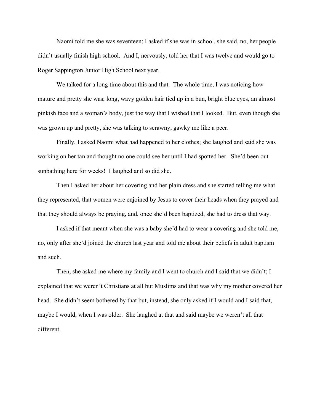Naomi told me she was seventeen; I asked if she was in school, she said, no, her people didn't usually finish high school. And I, nervously, told her that I was twelve and would go to Roger Sappington Junior High School next year.

We talked for a long time about this and that. The whole time, I was noticing how mature and pretty she was; long, wavy golden hair tied up in a bun, bright blue eyes, an almost pinkish face and a woman's body, just the way that I wished that I looked. But, even though she was grown up and pretty, she was talking to scrawny, gawky me like a peer.

Finally, I asked Naomi what had happened to her clothes; she laughed and said she was working on her tan and thought no one could see her until I had spotted her. She'd been out sunbathing here for weeks! I laughed and so did she.

Then I asked her about her covering and her plain dress and she started telling me what they represented, that women were enjoined by Jesus to cover their heads when they prayed and that they should always be praying, and, once she'd been baptized, she had to dress that way.

I asked if that meant when she was a baby she'd had to wear a covering and she told me, no, only after she'd joined the church last year and told me about their beliefs in adult baptism and such.

Then, she asked me where my family and I went to church and I said that we didn't; I explained that we weren't Christians at all but Muslims and that was why my mother covered her head. She didn't seem bothered by that but, instead, she only asked if I would and I said that, maybe I would, when I was older. She laughed at that and said maybe we weren't all that different.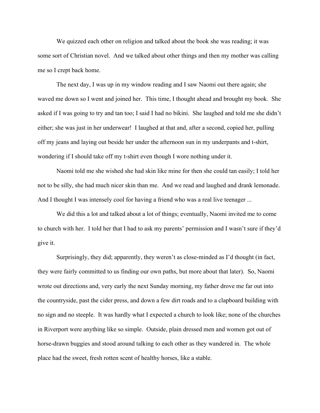We quizzed each other on religion and talked about the book she was reading; it was some sort of Christian novel. And we talked about other things and then my mother was calling me so I crept back home.

The next day, I was up in my window reading and I saw Naomi out there again; she waved me down so I went and joined her. This time, I thought ahead and brought my book. She asked if I was going to try and tan too; I said I had no bikini. She laughed and told me she didn't either; she was just in her underwear! I laughed at that and, after a second, copied her, pulling off my jeans and laying out beside her under the afternoon sun in my underpants and t-shirt, wondering if I should take off my t-shirt even though I wore nothing under it.

Naomi told me she wished she had skin like mine for then she could tan easily; I told her not to be silly, she had much nicer skin than me. And we read and laughed and drank lemonade. And I thought I was intensely cool for having a friend who was a real live teenager ...

We did this a lot and talked about a lot of things; eventually, Naomi invited me to come to church with her. I told her that I had to ask my parents' permission and I wasn't sure if they'd give it.

Surprisingly, they did; apparently, they weren't as close-minded as I'd thought (in fact, they were fairly committed to us finding our own paths, but more about that later). So, Naomi wrote out directions and, very early the next Sunday morning, my father drove me far out into the countryside, past the cider press, and down a few dirt roads and to a clapboard building with no sign and no steeple. It was hardly what I expected a church to look like; none of the churches in Riverport were anything like so simple. Outside, plain dressed men and women got out of horse-drawn buggies and stood around talking to each other as they wandered in. The whole place had the sweet, fresh rotten scent of healthy horses, like a stable.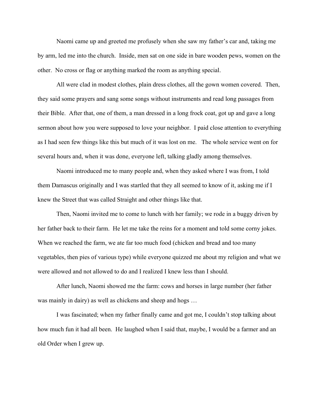Naomi came up and greeted me profusely when she saw my father's car and, taking me by arm, led me into the church. Inside, men sat on one side in bare wooden pews, women on the other. No cross or flag or anything marked the room as anything special.

All were clad in modest clothes, plain dress clothes, all the gown women covered. Then, they said some prayers and sang some songs without instruments and read long passages from their Bible. After that, one of them, a man dressed in a long frock coat, got up and gave a long sermon about how you were supposed to love your neighbor. I paid close attention to everything as I had seen few things like this but much of it was lost on me. The whole service went on for several hours and, when it was done, everyone left, talking gladly among themselves.

Naomi introduced me to many people and, when they asked where I was from, I told them Damascus originally and I was startled that they all seemed to know of it, asking me if I knew the Street that was called Straight and other things like that.

Then, Naomi invited me to come to lunch with her family; we rode in a buggy driven by her father back to their farm. He let me take the reins for a moment and told some corny jokes. When we reached the farm, we ate far too much food (chicken and bread and too many vegetables, then pies of various type) while everyone quizzed me about my religion and what we were allowed and not allowed to do and I realized I knew less than I should.

After lunch, Naomi showed me the farm: cows and horses in large number (her father was mainly in dairy) as well as chickens and sheep and hogs …

I was fascinated; when my father finally came and got me, I couldn't stop talking about how much fun it had all been. He laughed when I said that, maybe, I would be a farmer and an old Order when I grew up.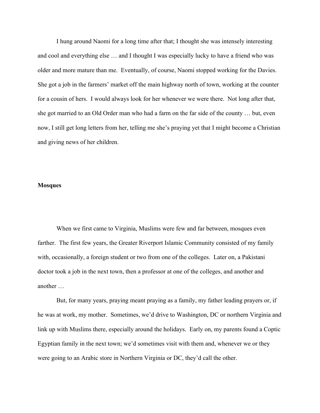I hung around Naomi for a long time after that; I thought she was intensely interesting and cool and everything else … and I thought I was especially lucky to have a friend who was older and more mature than me. Eventually, of course, Naomi stopped working for the Davies. She got a job in the farmers' market off the main highway north of town, working at the counter for a cousin of hers. I would always look for her whenever we were there. Not long after that, she got married to an Old Order man who had a farm on the far side of the county … but, even now, I still get long letters from her, telling me she's praying yet that I might become a Christian and giving news of her children.

## **Mosques**

When we first came to Virginia, Muslims were few and far between, mosques even farther. The first few years, the Greater Riverport Islamic Community consisted of my family with, occasionally, a foreign student or two from one of the colleges. Later on, a Pakistani doctor took a job in the next town, then a professor at one of the colleges, and another and another …

But, for many years, praying meant praying as a family, my father leading prayers or, if he was at work, my mother. Sometimes, we'd drive to Washington, DC or northern Virginia and link up with Muslims there, especially around the holidays. Early on, my parents found a Coptic Egyptian family in the next town; we'd sometimes visit with them and, whenever we or they were going to an Arabic store in Northern Virginia or DC, they'd call the other.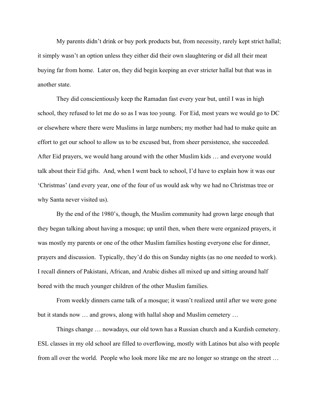My parents didn't drink or buy pork products but, from necessity, rarely kept strict hallal; it simply wasn't an option unless they either did their own slaughtering or did all their meat buying far from home. Later on, they did begin keeping an ever stricter hallal but that was in another state.

They did conscientiously keep the Ramadan fast every year but, until I was in high school, they refused to let me do so as I was too young. For Eid, most years we would go to DC or elsewhere where there were Muslims in large numbers; my mother had had to make quite an effort to get our school to allow us to be excused but, from sheer persistence, she succeeded. After Eid prayers, we would hang around with the other Muslim kids … and everyone would talk about their Eid gifts. And, when I went back to school, I'd have to explain how it was our 'Christmas' (and every year, one of the four of us would ask why we had no Christmas tree or why Santa never visited us).

By the end of the 1980's, though, the Muslim community had grown large enough that they began talking about having a mosque; up until then, when there were organized prayers, it was mostly my parents or one of the other Muslim families hosting everyone else for dinner, prayers and discussion. Typically, they'd do this on Sunday nights (as no one needed to work). I recall dinners of Pakistani, African, and Arabic dishes all mixed up and sitting around half bored with the much younger children of the other Muslim families.

From weekly dinners came talk of a mosque; it wasn't realized until after we were gone but it stands now … and grows, along with hallal shop and Muslim cemetery …

Things change … nowadays, our old town has a Russian church and a Kurdish cemetery. ESL classes in my old school are filled to overflowing, mostly with Latinos but also with people from all over the world. People who look more like me are no longer so strange on the street …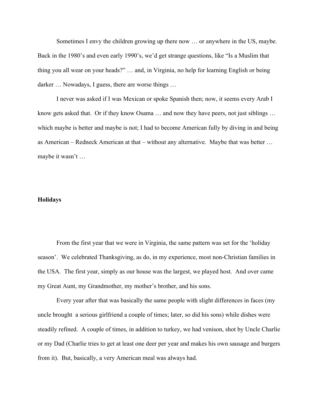Sometimes I envy the children growing up there now … or anywhere in the US, maybe. Back in the 1980's and even early 1990's, we'd get strange questions, like "Is a Muslim that thing you all wear on your heads?" … and, in Virginia, no help for learning English or being darker … Nowadays, I guess, there are worse things …

I never was asked if I was Mexican or spoke Spanish then; now, it seems every Arab I know gets asked that. Or if they know Osama … and now they have peers, not just siblings … which maybe is better and maybe is not; I had to become American fully by diving in and being as American – Redneck American at that – without any alternative. Maybe that was better … maybe it wasn't …

# **Holidays**

From the first year that we were in Virginia, the same pattern was set for the 'holiday season'. We celebrated Thanksgiving, as do, in my experience, most non-Christian families in the USA. The first year, simply as our house was the largest, we played host. And over came my Great Aunt, my Grandmother, my mother's brother, and his sons.

Every year after that was basically the same people with slight differences in faces (my uncle brought a serious girlfriend a couple of times; later, so did his sons) while dishes were steadily refined. A couple of times, in addition to turkey, we had venison, shot by Uncle Charlie or my Dad (Charlie tries to get at least one deer per year and makes his own sausage and burgers from it). But, basically, a very American meal was always had.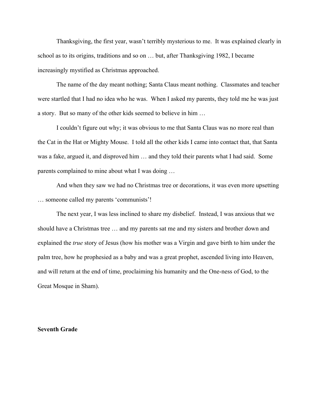Thanksgiving, the first year, wasn't terribly mysterious to me. It was explained clearly in school as to its origins, traditions and so on … but, after Thanksgiving 1982, I became increasingly mystified as Christmas approached.

The name of the day meant nothing; Santa Claus meant nothing. Classmates and teacher were startled that I had no idea who he was. When I asked my parents, they told me he was just a story. But so many of the other kids seemed to believe in him …

I couldn't figure out why; it was obvious to me that Santa Claus was no more real than the Cat in the Hat or Mighty Mouse. I told all the other kids I came into contact that, that Santa was a fake, argued it, and disproved him … and they told their parents what I had said. Some parents complained to mine about what I was doing …

And when they saw we had no Christmas tree or decorations, it was even more upsetting … someone called my parents 'communists'!

The next year, I was less inclined to share my disbelief. Instead, I was anxious that we should have a Christmas tree … and my parents sat me and my sisters and brother down and explained the *true* story of Jesus (how his mother was a Virgin and gave birth to him under the palm tree, how he prophesied as a baby and was a great prophet, ascended living into Heaven, and will return at the end of time, proclaiming his humanity and the One-ness of God, to the Great Mosque in Sham).

## **Seventh Grade**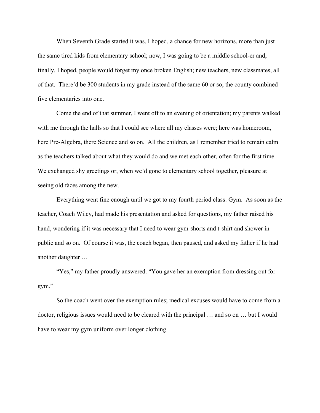When Seventh Grade started it was, I hoped, a chance for new horizons, more than just the same tired kids from elementary school; now, I was going to be a middle school-er and, finally, I hoped, people would forget my once broken English; new teachers, new classmates, all of that. There'd be 300 students in my grade instead of the same 60 or so; the county combined five elementaries into one.

Come the end of that summer, I went off to an evening of orientation; my parents walked with me through the halls so that I could see where all my classes were; here was homeroom, here Pre-Algebra, there Science and so on. All the children, as I remember tried to remain calm as the teachers talked about what they would do and we met each other, often for the first time. We exchanged shy greetings or, when we'd gone to elementary school together, pleasure at seeing old faces among the new.

Everything went fine enough until we got to my fourth period class: Gym. As soon as the teacher, Coach Wiley, had made his presentation and asked for questions, my father raised his hand, wondering if it was necessary that I need to wear gym-shorts and t-shirt and shower in public and so on. Of course it was, the coach began, then paused, and asked my father if he had another daughter …

"Yes," my father proudly answered. "You gave her an exemption from dressing out for gym."

So the coach went over the exemption rules; medical excuses would have to come from a doctor, religious issues would need to be cleared with the principal … and so on … but I would have to wear my gym uniform over longer clothing.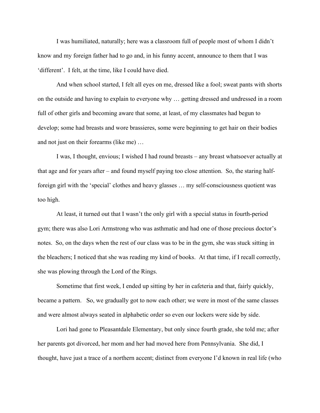I was humiliated, naturally; here was a classroom full of people most of whom I didn't know and my foreign father had to go and, in his funny accent, announce to them that I was 'different'. I felt, at the time, like I could have died.

And when school started, I felt all eyes on me, dressed like a fool; sweat pants with shorts on the outside and having to explain to everyone why … getting dressed and undressed in a room full of other girls and becoming aware that some, at least, of my classmates had begun to develop; some had breasts and wore brassieres, some were beginning to get hair on their bodies and not just on their forearms (like me) …

I was, I thought, envious; I wished I had round breasts – any breast whatsoever actually at that age and for years after – and found myself paying too close attention. So, the staring halfforeign girl with the 'special' clothes and heavy glasses … my self-consciousness quotient was too high.

At least, it turned out that I wasn't the only girl with a special status in fourth-period gym; there was also Lori Armstrong who was asthmatic and had one of those precious doctor's notes. So, on the days when the rest of our class was to be in the gym, she was stuck sitting in the bleachers; I noticed that she was reading my kind of books. At that time, if I recall correctly, she was plowing through the Lord of the Rings.

Sometime that first week, I ended up sitting by her in cafeteria and that, fairly quickly, became a pattern. So, we gradually got to now each other; we were in most of the same classes and were almost always seated in alphabetic order so even our lockers were side by side.

Lori had gone to Pleasantdale Elementary, but only since fourth grade, she told me; after her parents got divorced, her mom and her had moved here from Pennsylvania. She did, I thought, have just a trace of a northern accent; distinct from everyone I'd known in real life (who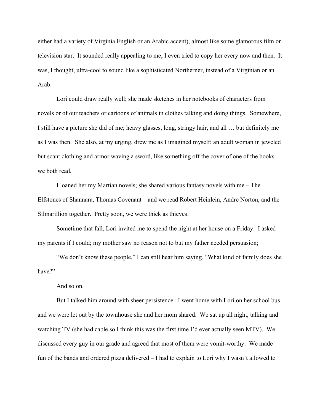either had a variety of Virginia English or an Arabic accent), almost like some glamorous film or television star. It sounded really appealing to me; I even tried to copy her every now and then. It was, I thought, ultra-cool to sound like a sophisticated Northerner, instead of a Virginian or an Arab.

Lori could draw really well; she made sketches in her notebooks of characters from novels or of our teachers or cartoons of animals in clothes talking and doing things. Somewhere, I still have a picture she did of me; heavy glasses, long, stringy hair, and all … but definitely me as I was then. She also, at my urging, drew me as I imagined myself; an adult woman in jeweled but scant clothing and armor waving a sword, like something off the cover of one of the books we both read.

I loaned her my Martian novels; she shared various fantasy novels with me – The Elfstones of Shannara, Thomas Covenant – and we read Robert Heinlein, Andre Norton, and the Silmarillion together. Pretty soon, we were thick as thieves.

Sometime that fall, Lori invited me to spend the night at her house on a Friday. I asked my parents if I could; my mother saw no reason not to but my father needed persuasion;

"We don't know these people," I can still hear him saying. "What kind of family does she have?"

And so on.

But I talked him around with sheer persistence. I went home with Lori on her school bus and we were let out by the townhouse she and her mom shared. We sat up all night, talking and watching TV (she had cable so I think this was the first time I'd ever actually seen MTV). We discussed every guy in our grade and agreed that most of them were vomit-worthy. We made fun of the bands and ordered pizza delivered – I had to explain to Lori why I wasn't allowed to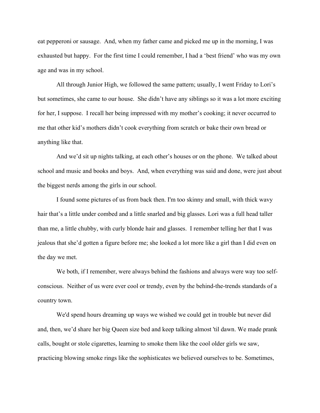eat pepperoni or sausage. And, when my father came and picked me up in the morning, I was exhausted but happy. For the first time I could remember, I had a 'best friend' who was my own age and was in my school.

All through Junior High, we followed the same pattern; usually, I went Friday to Lori's but sometimes, she came to our house. She didn't have any siblings so it was a lot more exciting for her, I suppose. I recall her being impressed with my mother's cooking; it never occurred to me that other kid's mothers didn't cook everything from scratch or bake their own bread or anything like that.

And we'd sit up nights talking, at each other's houses or on the phone. We talked about school and music and books and boys. And, when everything was said and done, were just about the biggest nerds among the girls in our school.

I found some pictures of us from back then. I'm too skinny and small, with thick wavy hair that's a little under combed and a little snarled and big glasses. Lori was a full head taller than me, a little chubby, with curly blonde hair and glasses. I remember telling her that I was jealous that she'd gotten a figure before me; she looked a lot more like a girl than I did even on the day we met.

We both, if I remember, were always behind the fashions and always were way too selfconscious. Neither of us were ever cool or trendy, even by the behind-the-trends standards of a country town.

We'd spend hours dreaming up ways we wished we could get in trouble but never did and, then, we'd share her big Queen size bed and keep talking almost 'til dawn. We made prank calls, bought or stole cigarettes, learning to smoke them like the cool older girls we saw, practicing blowing smoke rings like the sophisticates we believed ourselves to be. Sometimes,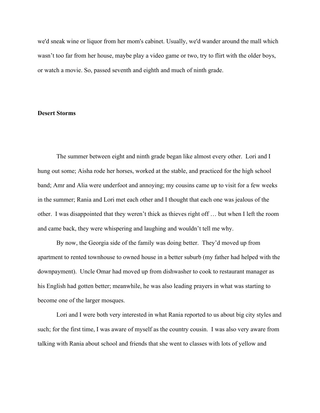we'd sneak wine or liquor from her mom's cabinet. Usually, we'd wander around the mall which wasn't too far from her house, maybe play a video game or two, try to flirt with the older boys, or watch a movie. So, passed seventh and eighth and much of ninth grade.

# **Desert Storms**

The summer between eight and ninth grade began like almost every other. Lori and I hung out some; Aisha rode her horses, worked at the stable, and practiced for the high school band; Amr and Alia were underfoot and annoying; my cousins came up to visit for a few weeks in the summer; Rania and Lori met each other and I thought that each one was jealous of the other. I was disappointed that they weren't thick as thieves right off … but when I left the room and came back, they were whispering and laughing and wouldn't tell me why.

By now, the Georgia side of the family was doing better. They'd moved up from apartment to rented townhouse to owned house in a better suburb (my father had helped with the downpayment). Uncle Omar had moved up from dishwasher to cook to restaurant manager as his English had gotten better; meanwhile, he was also leading prayers in what was starting to become one of the larger mosques.

Lori and I were both very interested in what Rania reported to us about big city styles and such; for the first time, I was aware of myself as the country cousin. I was also very aware from talking with Rania about school and friends that she went to classes with lots of yellow and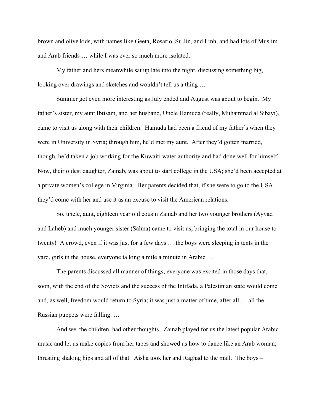brown and olive kids, with names like Geeta, Rosario, Su Jin, and Linh, and had lots of Muslim and Arab friends … while I was ever so much more isolated.

My father and hers meanwhile sat up late into the night, discussing something big, looking over drawings and sketches and wouldn't tell us a thing …

Summer got even more interesting as July ended and August was about to begin. My father's sister, my aunt Ibtisam, and her husband, Uncle Hamuda (really, Muhammad al Sibayi), came to visit us along with their children. Hamuda had been a friend of my father's when they were in University in Syria; through him, he'd met my aunt. After they'd gotten married, though, he'd taken a job working for the Kuwaiti water authority and had done well for himself. Now, their oldest daughter, Zainab, was about to start college in the USA; she'd been accepted at a private women's college in Virginia. Her parents decided that, if she were to go to the USA, they'd come with her and use it as an excuse to visit the American relations.

So, uncle, aunt, eighteen year old cousin Zainab and her two younger brothers (Ayyad and Laheb) and much younger sister (Salma) came to visit us, bringing the total in our house to twenty! A crowd, even if it was just for a few days … the boys were sleeping in tents in the yard, girls in the house, everyone talking a mile a minute in Arabic …

The parents discussed all manner of things; everyone was excited in those days that, soon, with the end of the Soviets and the success of the Intifada, a Palestinian state would come and, as well, freedom would return to Syria; it was just a matter of time, after all … all the Russian puppets were falling. …

And we, the children, had other thoughts. Zainab played for us the latest popular Arabic music and let us make copies from her tapes and showed us how to dance like an Arab woman; thrusting shaking hips and all of that. Aisha took her and Raghad to the mall. The boys –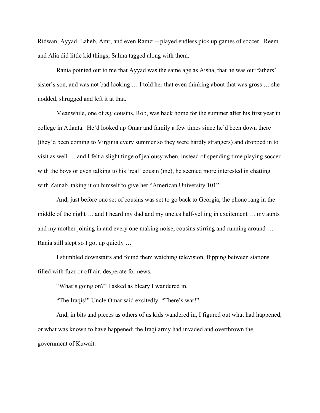Ridwan, Ayyad, Laheb, Amr, and even Ramzi – played endless pick up games of soccer. Reem and Alia did little kid things; Salma tagged along with them.

Rania pointed out to me that Ayyad was the same age as Aisha, that he was our fathers' sister's son, and was not bad looking … I told her that even thinking about that was gross … she nodded, shrugged and left it at that.

Meanwhile, one of *my* cousins, Rob, was back home for the summer after his first year in college in Atlanta. He'd looked up Omar and family a few times since he'd been down there (they'd been coming to Virginia every summer so they were hardly strangers) and dropped in to visit as well … and I felt a slight tinge of jealousy when, instead of spending time playing soccer with the boys or even talking to his 'real' cousin (me), he seemed more interested in chatting with Zainab, taking it on himself to give her "American University 101".

And, just before one set of cousins was set to go back to Georgia, the phone rang in the middle of the night … and I heard my dad and my uncles half-yelling in excitement … my aunts and my mother joining in and every one making noise, cousins stirring and running around … Rania still slept so I got up quietly …

I stumbled downstairs and found them watching television, flipping between stations filled with fuzz or off air, desperate for news.

"What's going on?" I asked as bleary I wandered in.

"The Iraqis!" Uncle Omar said excitedly. "There's war!"

And, in bits and pieces as others of us kids wandered in, I figured out what had happened, or what was known to have happened: the Iraqi army had invaded and overthrown the government of Kuwait.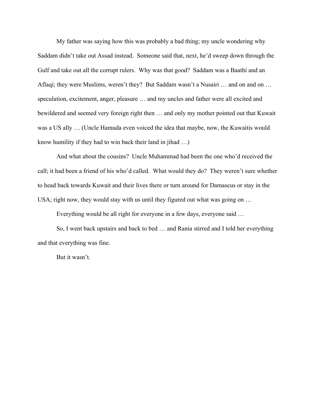My father was saying how this was probably a bad thing; my uncle wondering why Saddam didn't take out Assad instead. Someone said that, next, he'd sweep down through the Gulf and take out all the corrupt rulers. Why was that good? Saddam was a Baathi and an Aflaqi; they were Muslims, weren't they? But Saddam wasn't a Nusairi … and on and on … speculation, excitement, anger, pleasure … and my uncles and father were all excited and bewildered and seemed very foreign right then … and only my mother pointed out that Kuwait was a US ally … (Uncle Hamuda even voiced the idea that maybe, now, the Kuwaitis would know humility if they had to win back their land in jihad …)

And what about the cousins? Uncle Muhammad had been the one who'd received the call; it had been a friend of his who'd called. What would they do? They weren't sure whether to head back towards Kuwait and their lives there or turn around for Damascus or stay in the USA; right now, they would stay with us until they figured out what was going on ...

Everything would be all right for everyone in a few days, everyone said …

So, I went back upstairs and back to bed … and Rania stirred and I told her everything and that everything was fine.

But it wasn't.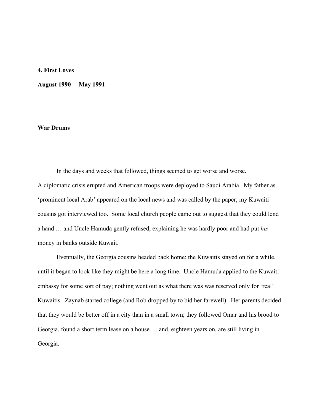#### **4. First Loves**

**August 1990 – May 1991**

### **War Drums**

In the days and weeks that followed, things seemed to get worse and worse. A diplomatic crisis erupted and American troops were deployed to Saudi Arabia. My father as 'prominent local Arab' appeared on the local news and was called by the paper; my Kuwaiti cousins got interviewed too. Some local church people came out to suggest that they could lend a hand … and Uncle Hamuda gently refused, explaining he was hardly poor and had put *his* money in banks outside Kuwait.

Eventually, the Georgia cousins headed back home; the Kuwaitis stayed on for a while, until it began to look like they might be here a long time. Uncle Hamuda applied to the Kuwaiti embassy for some sort of pay; nothing went out as what there was was reserved only for 'real' Kuwaitis. Zaynab started college (and Rob dropped by to bid her farewell). Her parents decided that they would be better off in a city than in a small town; they followed Omar and his brood to Georgia, found a short term lease on a house … and, eighteen years on, are still living in Georgia.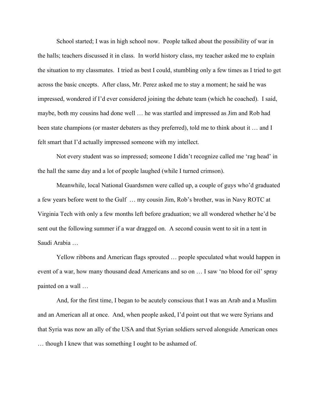School started; I was in high school now. People talked about the possibility of war in the halls; teachers discussed it in class. In world history class, my teacher asked me to explain the situation to my classmates. I tried as best I could, stumbling only a few times as I tried to get across the basic cncepts. After class, Mr. Perez asked me to stay a moment; he said he was impressed, wondered if I'd ever considered joining the debate team (which he coached). I said, maybe, both my cousins had done well … he was startled and impressed as Jim and Rob had been state champions (or master debaters as they preferred), told me to think about it … and I felt smart that I'd actually impressed someone with my intellect.

Not every student was so impressed; someone I didn't recognize called me 'rag head' in the hall the same day and a lot of people laughed (while I turned crimson).

Meanwhile, local National Guardsmen were called up, a couple of guys who'd graduated a few years before went to the Gulf … my cousin Jim, Rob's brother, was in Navy ROTC at Virginia Tech with only a few months left before graduation; we all wondered whether he'd be sent out the following summer if a war dragged on. A second cousin went to sit in a tent in Saudi Arabia …

Yellow ribbons and American flags sprouted … people speculated what would happen in event of a war, how many thousand dead Americans and so on … I saw 'no blood for oil' spray painted on a wall …

And, for the first time, I began to be acutely conscious that I was an Arab and a Muslim and an American all at once. And, when people asked, I'd point out that we were Syrians and that Syria was now an ally of the USA and that Syrian soldiers served alongside American ones … though I knew that was something I ought to be ashamed of.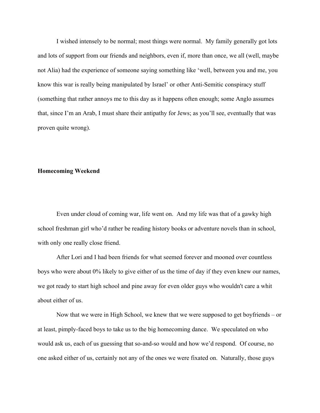I wished intensely to be normal; most things were normal. My family generally got lots and lots of support from our friends and neighbors, even if, more than once, we all (well, maybe not Alia) had the experience of someone saying something like 'well, between you and me, you know this war is really being manipulated by Israel' or other Anti-Semitic conspiracy stuff (something that rather annoys me to this day as it happens often enough; some Anglo assumes that, since I'm an Arab, I must share their antipathy for Jews; as you'll see, eventually that was proven quite wrong).

# **Homecoming Weekend**

Even under cloud of coming war, life went on. And my life was that of a gawky high school freshman girl who'd rather be reading history books or adventure novels than in school, with only one really close friend.

After Lori and I had been friends for what seemed forever and mooned over countless boys who were about 0% likely to give either of us the time of day if they even knew our names, we got ready to start high school and pine away for even older guys who wouldn't care a whit about either of us.

Now that we were in High School, we knew that we were supposed to get boyfriends – or at least, pimply-faced boys to take us to the big homecoming dance. We speculated on who would ask us, each of us guessing that so-and-so would and how we'd respond. Of course, no one asked either of us, certainly not any of the ones we were fixated on. Naturally, those guys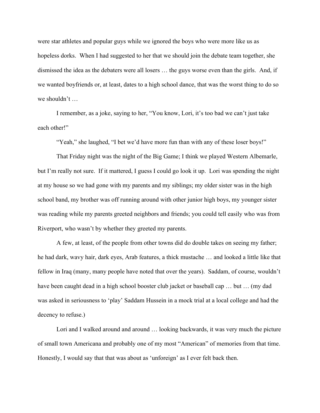were star athletes and popular guys while we ignored the boys who were more like us as hopeless dorks. When I had suggested to her that we should join the debate team together, she dismissed the idea as the debaters were all losers … the guys worse even than the girls. And, if we wanted boyfriends or, at least, dates to a high school dance, that was the worst thing to do so we shouldn't …

I remember, as a joke, saying to her, "You know, Lori, it's too bad we can't just take each other!"

"Yeah," she laughed, "I bet we'd have more fun than with any of these loser boys!"

That Friday night was the night of the Big Game; I think we played Western Albemarle, but I'm really not sure. If it mattered, I guess I could go look it up. Lori was spending the night at my house so we had gone with my parents and my siblings; my older sister was in the high school band, my brother was off running around with other junior high boys, my younger sister was reading while my parents greeted neighbors and friends; you could tell easily who was from Riverport, who wasn't by whether they greeted my parents.

A few, at least, of the people from other towns did do double takes on seeing my father; he had dark, wavy hair, dark eyes, Arab features, a thick mustache … and looked a little like that fellow in Iraq (many, many people have noted that over the years). Saddam, of course, wouldn't have been caught dead in a high school booster club jacket or baseball cap ... but ... (my dad was asked in seriousness to 'play' Saddam Hussein in a mock trial at a local college and had the decency to refuse.)

Lori and I walked around and around … looking backwards, it was very much the picture of small town Americana and probably one of my most "American" of memories from that time. Honestly, I would say that that was about as 'unforeign' as I ever felt back then.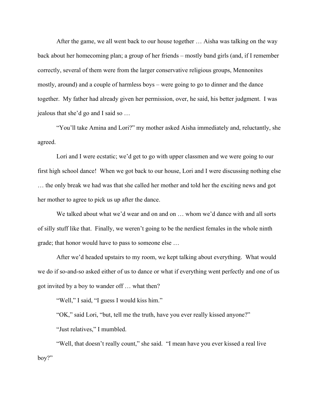After the game, we all went back to our house together … Aisha was talking on the way back about her homecoming plan; a group of her friends – mostly band girls (and, if I remember correctly, several of them were from the larger conservative religious groups, Mennonites mostly, around) and a couple of harmless boys – were going to go to dinner and the dance together. My father had already given her permission, over, he said, his better judgment. I was jealous that she'd go and I said so …

"You'll take Amina and Lori?" my mother asked Aisha immediately and, reluctantly, she agreed.

 Lori and I were ecstatic; we'd get to go with upper classmen and we were going to our first high school dance! When we got back to our house, Lori and I were discussing nothing else … the only break we had was that she called her mother and told her the exciting news and got her mother to agree to pick us up after the dance.

We talked about what we'd wear and on and on ... whom we'd dance with and all sorts of silly stuff like that. Finally, we weren't going to be the nerdiest females in the whole ninth grade; that honor would have to pass to someone else …

After we'd headed upstairs to my room, we kept talking about everything. What would we do if so-and-so asked either of us to dance or what if everything went perfectly and one of us got invited by a boy to wander off … what then?

"Well," I said, "I guess I would kiss him."

"OK," said Lori, "but, tell me the truth, have you ever really kissed anyone?"

"Just relatives," I mumbled.

"Well, that doesn't really count," she said. "I mean have you ever kissed a real live boy?"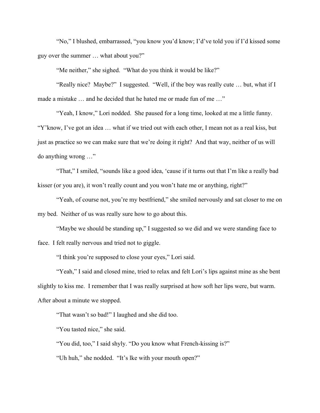"No," I blushed, embarrassed, "you know you'd know; I'd've told you if I'd kissed some guy over the summer … what about you?"

"Me neither," she sighed. "What do you think it would be like?"

"Really nice? Maybe?" I suggested. "Well, if the boy was really cute … but, what if I made a mistake ... and he decided that he hated me or made fun of me ..."

"Yeah, I know," Lori nodded. She paused for a long time, looked at me a little funny. "Y'know, I've got an idea … what if we tried out with each other, I mean not as a real kiss, but just as practice so we can make sure that we're doing it right? And that way, neither of us will do anything wrong …"

"That," I smiled, "sounds like a good idea, 'cause if it turns out that I'm like a really bad kisser (or you are), it won't really count and you won't hate me or anything, right?"

"Yeah, of course not, you're my bestfriend," she smiled nervously and sat closer to me on my bed. Neither of us was really sure how to go about this.

"Maybe we should be standing up," I suggested so we did and we were standing face to face. I felt really nervous and tried not to giggle.

"I think you're supposed to close your eyes," Lori said.

"Yeah," I said and closed mine, tried to relax and felt Lori's lips against mine as she bent slightly to kiss me. I remember that I was really surprised at how soft her lips were, but warm. After about a minute we stopped.

"That wasn't so bad!" I laughed and she did too.

"You tasted nice," she said.

"You did, too," I said shyly. "Do you know what French-kissing is?"

"Uh huh," she nodded. "It's lke with your mouth open?"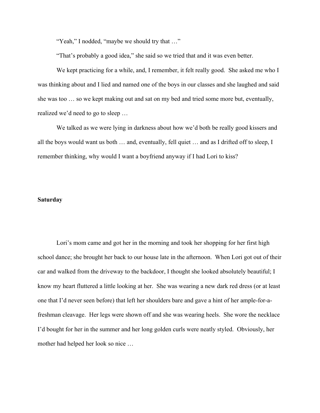"Yeah," I nodded, "maybe we should try that …"

"That's probably a good idea," she said so we tried that and it was even better.

We kept practicing for a while, and, I remember, it felt really good. She asked me who I was thinking about and I lied and named one of the boys in our classes and she laughed and said she was too … so we kept making out and sat on my bed and tried some more but, eventually, realized we'd need to go to sleep …

We talked as we were lying in darkness about how we'd both be really good kissers and all the boys would want us both … and, eventually, fell quiet … and as I drifted off to sleep, I remember thinking, why would I want a boyfriend anyway if I had Lori to kiss?

# **Saturday**

Lori's mom came and got her in the morning and took her shopping for her first high school dance; she brought her back to our house late in the afternoon. When Lori got out of their car and walked from the driveway to the backdoor, I thought she looked absolutely beautiful; I know my heart fluttered a little looking at her. She was wearing a new dark red dress (or at least one that I'd never seen before) that left her shoulders bare and gave a hint of her ample-for-afreshman cleavage. Her legs were shown off and she was wearing heels. She wore the necklace I'd bought for her in the summer and her long golden curls were neatly styled. Obviously, her mother had helped her look so nice …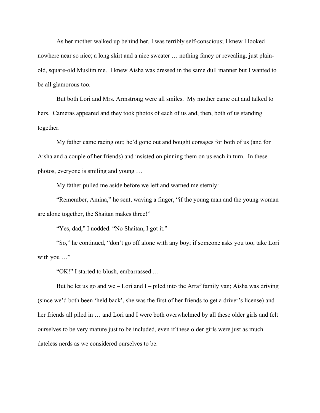As her mother walked up behind her, I was terribly self-conscious; I knew I looked nowhere near so nice; a long skirt and a nice sweater … nothing fancy or revealing, just plainold, square-old Muslim me. I knew Aisha was dressed in the same dull manner but I wanted to be all glamorous too.

But both Lori and Mrs. Armstrong were all smiles. My mother came out and talked to hers. Cameras appeared and they took photos of each of us and, then, both of us standing together.

My father came racing out; he'd gone out and bought corsages for both of us (and for Aisha and a couple of her friends) and insisted on pinning them on us each in turn. In these photos, everyone is smiling and young …

My father pulled me aside before we left and warned me sternly:

"Remember, Amina," he sent, waving a finger, "if the young man and the young woman are alone together, the Shaitan makes three!"

"Yes, dad," I nodded. "No Shaitan, I got it."

"So," he continued, "don't go off alone with any boy; if someone asks you too, take Lori with you ..."

"OK!" I started to blush, embarrassed …

But he let us go and we  $-$  Lori and I  $-$  piled into the Arraf family van; Aisha was driving (since we'd both been 'held back', she was the first of her friends to get a driver's license) and her friends all piled in ... and Lori and I were both overwhelmed by all these older girls and felt ourselves to be very mature just to be included, even if these older girls were just as much dateless nerds as we considered ourselves to be.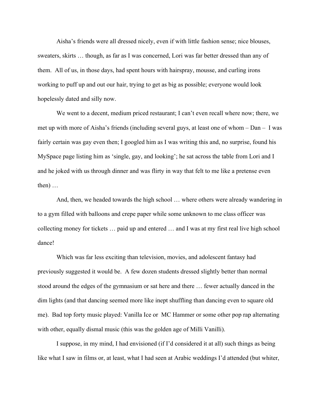Aisha's friends were all dressed nicely, even if with little fashion sense; nice blouses, sweaters, skirts … though, as far as I was concerned, Lori was far better dressed than any of them. All of us, in those days, had spent hours with hairspray, mousse, and curling irons working to puff up and out our hair, trying to get as big as possible; everyone would look hopelessly dated and silly now.

We went to a decent, medium priced restaurant; I can't even recall where now; there, we met up with more of Aisha's friends (including several guys, at least one of whom – Dan – I was fairly certain was gay even then; I googled him as I was writing this and, no surprise, found his MySpace page listing him as 'single, gay, and looking'; he sat across the table from Lori and I and he joked with us through dinner and was flirty in way that felt to me like a pretense even then) …

And, then, we headed towards the high school … where others were already wandering in to a gym filled with balloons and crepe paper while some unknown to me class officer was collecting money for tickets … paid up and entered … and I was at my first real live high school dance!

Which was far less exciting than television, movies, and adolescent fantasy had previously suggested it would be. A few dozen students dressed slightly better than normal stood around the edges of the gymnasium or sat here and there … fewer actually danced in the dim lights (and that dancing seemed more like inept shuffling than dancing even to square old me). Bad top forty music played: Vanilla Ice or MC Hammer or some other pop rap alternating with other, equally dismal music (this was the golden age of Milli Vanilli).

I suppose, in my mind, I had envisioned (if I'd considered it at all) such things as being like what I saw in films or, at least, what I had seen at Arabic weddings I'd attended (but whiter,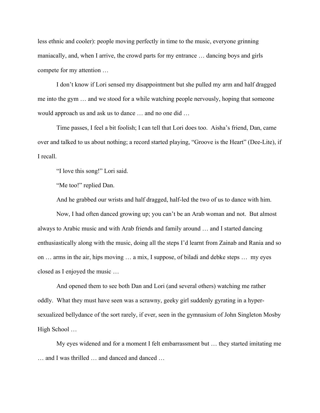less ethnic and cooler): people moving perfectly in time to the music, everyone grinning maniacally, and, when I arrive, the crowd parts for my entrance … dancing boys and girls compete for my attention …

I don't know if Lori sensed my disappointment but she pulled my arm and half dragged me into the gym … and we stood for a while watching people nervously, hoping that someone would approach us and ask us to dance … and no one did …

Time passes, I feel a bit foolish; I can tell that Lori does too. Aisha's friend, Dan, came over and talked to us about nothing; a record started playing, "Groove is the Heart" (Dee-Lite), if I recall.

"I love this song!" Lori said.

"Me too!" replied Dan.

And he grabbed our wrists and half dragged, half-led the two of us to dance with him.

Now, I had often danced growing up; you can't be an Arab woman and not. But almost always to Arabic music and with Arab friends and family around … and I started dancing enthusiastically along with the music, doing all the steps I'd learnt from Zainab and Rania and so on … arms in the air, hips moving … a mix, I suppose, of biladi and debke steps … my eyes closed as I enjoyed the music …

And opened them to see both Dan and Lori (and several others) watching me rather oddly. What they must have seen was a scrawny, geeky girl suddenly gyrating in a hypersexualized bellydance of the sort rarely, if ever, seen in the gymnasium of John Singleton Mosby High School …

My eyes widened and for a moment I felt embarrassment but … they started imitating me … and I was thrilled … and danced and danced …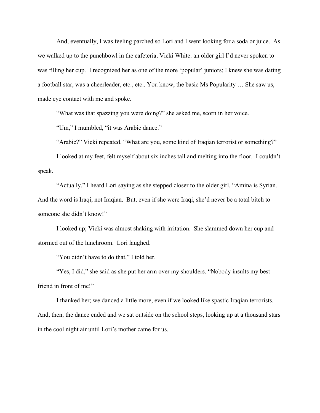And, eventually, I was feeling parched so Lori and I went looking for a soda or juice. As we walked up to the punchbowl in the cafeteria, Vicki White. an older girl I'd never spoken to was filling her cup. I recognized her as one of the more 'popular' juniors; I knew she was dating a football star, was a cheerleader, etc., etc.. You know, the basic Ms Popularity … She saw us, made eye contact with me and spoke.

"What was that spazzing you were doing?" she asked me, scorn in her voice.

"Um," I mumbled, "it was Arabic dance."

"Arabic?" Vicki repeated. "What are you, some kind of Iraqian terrorist or something?"

I looked at my feet, felt myself about six inches tall and melting into the floor. I couldn't speak.

"Actually," I heard Lori saying as she stepped closer to the older girl, "Amina is Syrian. And the word is Iraqi, not Iraqian. But, even if she were Iraqi, she'd never be a total bitch to someone she didn't know!"

I looked up; Vicki was almost shaking with irritation. She slammed down her cup and stormed out of the lunchroom. Lori laughed.

"You didn't have to do that," I told her.

"Yes, I did," she said as she put her arm over my shoulders. "Nobody insults my best friend in front of me!"

I thanked her; we danced a little more, even if we looked like spastic Iraqian terrorists. And, then, the dance ended and we sat outside on the school steps, looking up at a thousand stars in the cool night air until Lori's mother came for us.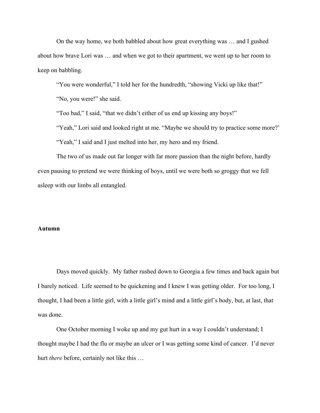On the way home, we both babbled about how great everything was … and I gushed about how brave Lori was … and when we got to their apartment, we went up to her room to keep on babbling.

"You were wonderful," I told her for the hundredth, "showing Vicki up like that!"

"No, you were!" she said.

"Too bad," I said, "that we didn't either of us end up kissing any boys!"

"Yeah," Lori said and looked right at me. "Maybe we should try to practice some more?'

"Yeah," I said and I just melted into her, my hero and my friend.

The two of us made out far longer with far more passion than the night before, hardly even pausing to pretend we were thinking of boys, until we were both so groggy that we fell asleep with our limbs all entangled.

#### **Autumn**

Days moved quickly. My father rushed down to Georgia a few times and back again but I barely noticed. Life seemed to be quickening and I knew I was getting older. For too long, I thought, I had been a little girl, with a little girl's mind and a little girl's body, but, at last, that was done.

One October morning I woke up and my gut hurt in a way I couldn't understand; I thought maybe I had the flu or maybe an ulcer or I was getting some kind of cancer. I'd never hurt *there* before, certainly not like this …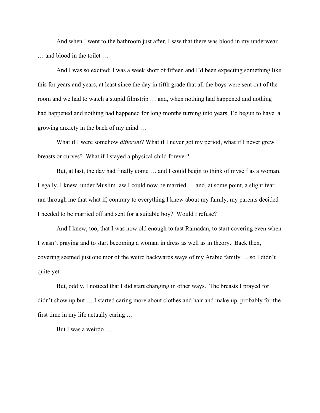And when I went to the bathroom just after, I saw that there was blood in my underwear … and blood in the toilet …

And I was so excited; I was a week short of fifteen and I'd been expecting something like this for years and years, at least since the day in fifth grade that all the boys were sent out of the room and we had to watch a stupid filmstrip … and, when nothing had happened and nothing had happened and nothing had happened for long months turning into years, I'd begun to have a growing anxiety in the back of my mind …

What if I were somehow *different*? What if I never got my period, what if I never grew breasts or curves? What if I stayed a physical child forever?

But, at last, the day had finally come … and I could begin to think of myself as a woman. Legally, I knew, under Muslim law I could now be married … and, at some point, a slight fear ran through me that what if, contrary to everything I knew about my family, my parents decided I needed to be married off and sent for a suitable boy? Would I refuse?

And I knew, too, that I was now old enough to fast Ramadan, to start covering even when I wasn't praying and to start becoming a woman in dress as well as in theory. Back then, covering seemed just one mor of the weird backwards ways of my Arabic family … so I didn't quite yet.

But, oddly, I noticed that I did start changing in other ways. The breasts I prayed for didn't show up but … I started caring more about clothes and hair and make-up, probably for the first time in my life actually caring …

But I was a weirdo …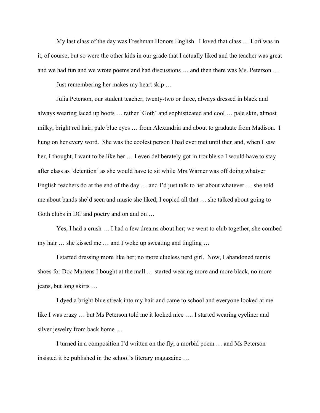My last class of the day was Freshman Honors English. I loved that class … Lori was in it, of course, but so were the other kids in our grade that I actually liked and the teacher was great and we had fun and we wrote poems and had discussions … and then there was Ms. Peterson …

Just remembering her makes my heart skip …

Julia Peterson, our student teacher, twenty-two or three, always dressed in black and always wearing laced up boots … rather 'Goth' and sophisticated and cool … pale skin, almost milky, bright red hair, pale blue eyes … from Alexandria and about to graduate from Madison. I hung on her every word. She was the coolest person I had ever met until then and, when I saw her, I thought, I want to be like her … I even deliberately got in trouble so I would have to stay after class as 'detention' as she would have to sit while Mrs Warner was off doing whatver English teachers do at the end of the day … and I'd just talk to her about whatever … she told me about bands she'd seen and music she liked; I copied all that … she talked about going to Goth clubs in DC and poetry and on and on ...

Yes, I had a crush … I had a few dreams about her; we went to club together, she combed my hair … she kissed me … and I woke up sweating and tingling …

I started dressing more like her; no more clueless nerd girl. Now, I abandoned tennis shoes for Doc Martens I bought at the mall … started wearing more and more black, no more jeans, but long skirts …

I dyed a bright blue streak into my hair and came to school and everyone looked at me like I was crazy … but Ms Peterson told me it looked nice …. I started wearing eyeliner and silver jewelry from back home …

I turned in a composition I'd written on the fly, a morbid poem … and Ms Peterson insisted it be published in the school's literary magazaine …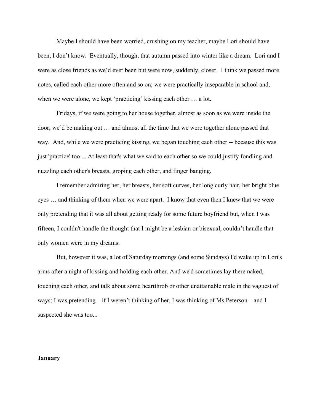Maybe I should have been worried, crushing on my teacher, maybe Lori should have been, I don't know. Eventually, though, that autumn passed into winter like a dream. Lori and I were as close friends as we'd ever been but were now, suddenly, closer. I think we passed more notes, called each other more often and so on; we were practically inseparable in school and, when we were alone, we kept 'practicing' kissing each other … a lot.

Fridays, if we were going to her house together, almost as soon as we were inside the door, we'd be making out … and almost all the time that we were together alone passed that way. And, while we were practicing kissing, we began touching each other -- because this was just 'practice' too ... At least that's what we said to each other so we could justify fondling and nuzzling each other's breasts, groping each other, and finger banging.

I remember admiring her, her breasts, her soft curves, her long curly hair, her bright blue eyes … and thinking of them when we were apart. I know that even then I knew that we were only pretending that it was all about getting ready for some future boyfriend but, when I was fifteen, I couldn't handle the thought that I might be a lesbian or bisexual, couldn't handle that only women were in my dreams.

But, however it was, a lot of Saturday mornings (and some Sundays) I'd wake up in Lori's arms after a night of kissing and holding each other. And we'd sometimes lay there naked, touching each other, and talk about some heartthrob or other unattainable male in the vaguest of ways; I was pretending  $-$  if I weren't thinking of her, I was thinking of Ms Peterson – and I suspected she was too...

### **January**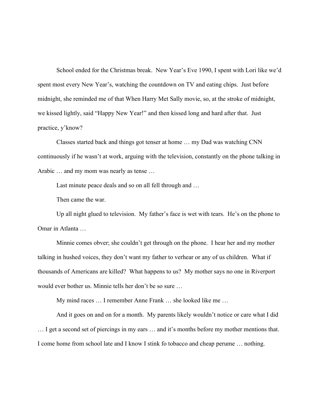School ended for the Christmas break. New Year's Eve 1990, I spent with Lori like we'd spent most every New Year's, watching the countdown on TV and eating chips. Just before midnight, she reminded me of that When Harry Met Sally movie, so, at the stroke of midnight, we kissed lightly, said "Happy New Year!" and then kissed long and hard after that. Just practice, y'know?

Classes started back and things got tenser at home … my Dad was watching CNN continuously if he wasn't at work, arguing with the television, constantly on the phone talking in Arabic … and my mom was nearly as tense …

Last minute peace deals and so on all fell through and ...

Then came the war.

Up all night glued to television. My father's face is wet with tears. He's on the phone to Omar in Atlanta …

Minnie comes obver; she couldn't get through on the phone. I hear her and my mother talking in hushed voices, they don't want my father to verhear or any of us children. What if thousands of Americans are killed? What happens to us? My mother says no one in Riverport would ever bother us. Minnie tells her don't be so sure …

My mind races … I remember Anne Frank … she looked like me …

And it goes on and on for a month. My parents likely wouldn't notice or care what I did … I get a second set of piercings in my ears … and it's months before my mother mentions that. I come home from school late and I know I stink fo tobacco and cheap perume … nothing.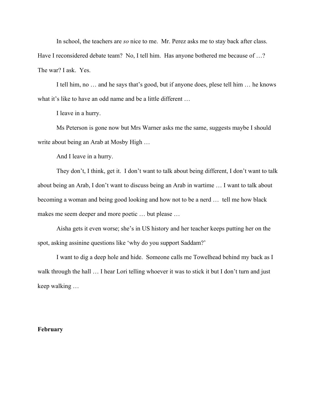In school, the teachers are *so* nice to me. Mr. Perez asks me to stay back after class. Have I reconsidered debate team? No, I tell him. Has anyone bothered me because of ...? The war? I ask. Yes.

I tell him, no … and he says that's good, but if anyone does, plese tell him … he knows what it's like to have an odd name and be a little different ...

I leave in a hurry.

Ms Peterson is gone now but Mrs Warner asks me the same, suggests maybe I should write about being an Arab at Mosby High …

And I leave in a hurry.

They don't, I think, get it. I don't want to talk about being different, I don't want to talk about being an Arab, I don't want to discuss being an Arab in wartime … I want to talk about becoming a woman and being good looking and how not to be a nerd … tell me how black makes me seem deeper and more poetic … but please …

Aisha gets it even worse; she's in US history and her teacher keeps putting her on the spot, asking assinine questions like 'why do you support Saddam?'

I want to dig a deep hole and hide. Someone calls me Towelhead behind my back as I walk through the hall ... I hear Lori telling whoever it was to stick it but I don't turn and just keep walking …

#### **February**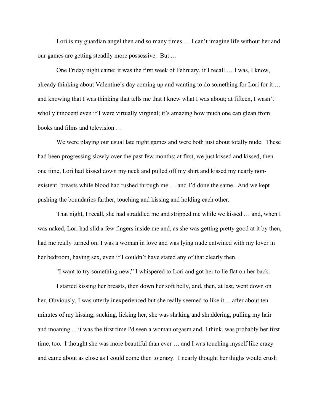Lori is my guardian angel then and so many times ... I can't imagine life without her and our games are getting steadily more possessive. But …

One Friday night came; it was the first week of February, if I recall … I was, I know, already thinking about Valentine's day coming up and wanting to do something for Lori for it … and knowing that I was thinking that tells me that I knew what I was about; at fifteen, I wasn't wholly innocent even if I were virtually virginal; it's amazing how much one can glean from books and films and television …

We were playing our usual late night games and were both just about totally nude. These had been progressing slowly over the past few months; at first, we just kissed and kissed, then one time, Lori had kissed down my neck and pulled off my shirt and kissed my nearly nonexistent breasts while blood had rushed through me … and I'd done the same. And we kept pushing the boundaries farther, touching and kissing and holding each other.

That night, I recall, she had straddled me and stripped me while we kissed … and, when I was naked, Lori had slid a few fingers inside me and, as she was getting pretty good at it by then, had me really turned on; I was a woman in love and was lying nude entwined with my lover in her bedroom, having sex, even if I couldn't have stated any of that clearly then.

"I want to try something new," I whispered to Lori and got her to lie flat on her back.

I started kissing her breasts, then down her soft belly, and, then, at last, went down on her. Obviously, I was utterly inexperienced but she really seemed to like it ... after about ten minutes of my kissing, sucking, licking her, she was shaking and shuddering, pulling my hair and moaning ... it was the first time I'd seen a woman orgasm and, I think, was probably her first time, too. I thought she was more beautiful than ever … and I was touching myself like crazy and came about as close as I could come then to crazy. I nearly thought her thighs would crush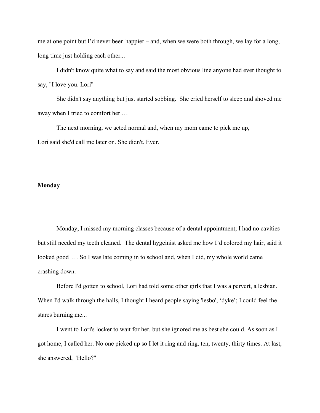me at one point but I'd never been happier – and, when we were both through, we lay for a long, long time just holding each other...

I didn't know quite what to say and said the most obvious line anyone had ever thought to say, "I love you. Lori"

She didn't say anything but just started sobbing. She cried herself to sleep and shoved me away when I tried to comfort her …

The next morning, we acted normal and, when my mom came to pick me up, Lori said she'd call me later on. She didn't. Ever.

# **Monday**

Monday, I missed my morning classes because of a dental appointment; I had no cavities but still needed my teeth cleaned. The dental hygeinist asked me how I'd colored my hair, said it looked good … So I was late coming in to school and, when I did, my whole world came crashing down.

Before I'd gotten to school, Lori had told some other girls that I was a pervert, a lesbian. When I'd walk through the halls, I thought I heard people saying 'lesbo', 'dyke'; I could feel the stares burning me...

I went to Lori's locker to wait for her, but she ignored me as best she could. As soon as I got home, I called her. No one picked up so I let it ring and ring, ten, twenty, thirty times. At last, she answered, "Hello?"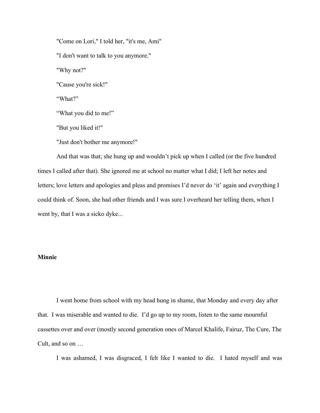"Come on Lori," I told her, "it's me, Ami" "I don't want to talk to you anymore." "Why not?" "Cause you're sick!" "What?" "What you did to me!" "But you liked it!" "Just don't bother me anymore!"

And that was that; she hung up and wouldn't pick up when I called (or the five hundred times I called after that). She ignored me at school no matter what I did; I left her notes and letters; love letters and apologies and pleas and promises I'd never do 'it' again and everything I could think of. Soon, she had other friends and I was sure I overheard her telling them, when I went by, that I was a sicko dyke...

# **Minnie**

I went home from school with my head hung in shame, that Monday and every day after that. I was miserable and wanted to die. I'd go up to my room, listen to the same mournful cassettes over and over (mostly second generation ones of Marcel Khalife, Fairuz, The Cure, The Cult, and so on …

I was ashamed, I was disgraced, I felt like I wanted to die. I hated myself and was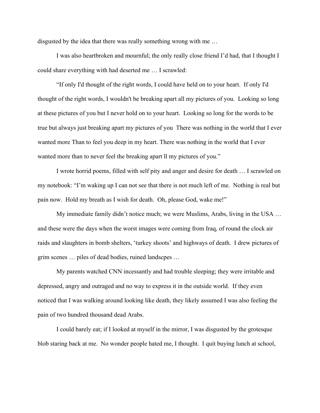disgusted by the idea that there was really something wrong with me …

I was also heartbroken and mournful; the only really close friend I'd had, that I thought I could share everything with had deserted me … I scrawled:

"If only I'd thought of the right words, I could have held on to your heart. If only I'd thought of the right words, I wouldn't be breaking apart all my pictures of you. Looking so long at these pictures of you but I never hold on to your heart. Looking so long for the words to be true but always just breaking apart my pictures of you There was nothing in the world that I ever wanted more Than to feel you deep in my heart. There was nothing in the world that I ever wanted more than to never feel the breaking apart ll my pictures of you."

I wrote horrid poems, filled with self pity and anger and desire for death … I scrawled on my notebook: "I'm waking up I can not see that there is not much left of me. Nothing is real but pain now. Hold my breath as I wish for death. Oh, please God, wake me!"

My immediate family didn't notice much; we were Muslims, Arabs, living in the USA … and these were the days when the worst images were coming from Iraq, of round the clock air raids and slaughters in bomb shelters, 'turkey shoots' and highways of death. I drew pictures of grim scenes … piles of dead bodies, ruined landscpes …

My parents watched CNN incessantly and had trouble sleeping; they were irritable and depressed, angry and outraged and no way to express it in the outside world. If they even noticed that I was walking around looking like death, they likely assumed I was also feeling the pain of two hundred thousand dead Arabs.

I could barely eat; if I looked at myself in the mirror, I was disgusted by the grotesque blob staring back at me. No wonder people hated me, I thought. I quit buying lunch at school,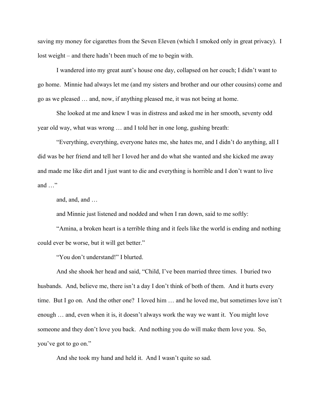saving my money for cigarettes from the Seven Eleven (which I smoked only in great privacy). I lost weight – and there hadn't been much of me to begin with.

I wandered into my great aunt's house one day, collapsed on her couch; I didn't want to go home. Minnie had always let me (and my sisters and brother and our other cousins) come and go as we pleased … and, now, if anything pleased me, it was not being at home.

She looked at me and knew I was in distress and asked me in her smooth, seventy odd year old way, what was wrong … and I told her in one long, gushing breath:

"Everything, everything, everyone hates me, she hates me, and I didn't do anything, all I did was be her friend and tell her I loved her and do what she wanted and she kicked me away and made me like dirt and I just want to die and everything is horrible and I don't want to live and …"

and, and, and …

and Minnie just listened and nodded and when I ran down, said to me softly:

"Amina, a broken heart is a terrible thing and it feels like the world is ending and nothing could ever be worse, but it will get better."

"You don't understand!" I blurted.

And she shook her head and said, "Child, I've been married three times. I buried two husbands. And, believe me, there isn't a day I don't think of both of them. And it hurts every time. But I go on. And the other one? I loved him … and he loved me, but sometimes love isn't enough … and, even when it is, it doesn't always work the way we want it. You might love someone and they don't love you back. And nothing you do will make them love you. So, you've got to go on."

And she took my hand and held it. And I wasn't quite so sad.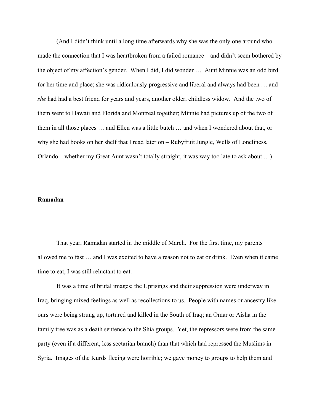(And I didn't think until a long time afterwards why she was the only one around who made the connection that I was heartbroken from a failed romance – and didn't seem bothered by the object of my affection's gender. When I did, I did wonder … Aunt Minnie was an odd bird for her time and place; she was ridiculously progressive and liberal and always had been … and *she* had had a best friend for years and years, another older, childless widow. And the two of them went to Hawaii and Florida and Montreal together; Minnie had pictures up of the two of them in all those places … and Ellen was a little butch … and when I wondered about that, or why she had books on her shelf that I read later on – Rubyfruit Jungle, Wells of Loneliness, Orlando – whether my Great Aunt wasn't totally straight, it was way too late to ask about …)

# **Ramadan**

That year, Ramadan started in the middle of March. For the first time, my parents allowed me to fast … and I was excited to have a reason not to eat or drink. Even when it came time to eat, I was still reluctant to eat.

It was a time of brutal images; the Uprisings and their suppression were underway in Iraq, bringing mixed feelings as well as recollections to us. People with names or ancestry like ours were being strung up, tortured and killed in the South of Iraq; an Omar or Aisha in the family tree was as a death sentence to the Shia groups. Yet, the repressors were from the same party (even if a different, less sectarian branch) than that which had repressed the Muslims in Syria. Images of the Kurds fleeing were horrible; we gave money to groups to help them and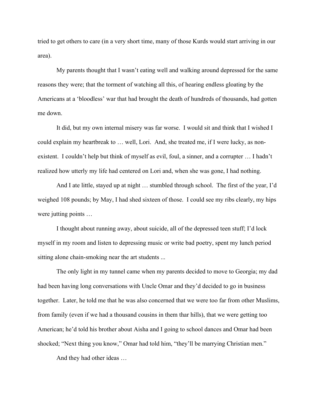tried to get others to care (in a very short time, many of those Kurds would start arriving in our area).

My parents thought that I wasn't eating well and walking around depressed for the same reasons they were; that the torment of watching all this, of hearing endless gloating by the Americans at a 'bloodless' war that had brought the death of hundreds of thousands, had gotten me down.

It did, but my own internal misery was far worse. I would sit and think that I wished I could explain my heartbreak to … well, Lori. And, she treated me, if I were lucky, as nonexistent. I couldn't help but think of myself as evil, foul, a sinner, and a corrupter … I hadn't realized how utterly my life had centered on Lori and, when she was gone, I had nothing.

And I ate little, stayed up at night … stumbled through school. The first of the year, I'd weighed 108 pounds; by May, I had shed sixteen of those. I could see my ribs clearly, my hips were jutting points …

I thought about running away, about suicide, all of the depressed teen stuff; I'd lock myself in my room and listen to depressing music or write bad poetry, spent my lunch period sitting alone chain-smoking near the art students ...

The only light in my tunnel came when my parents decided to move to Georgia; my dad had been having long conversations with Uncle Omar and they'd decided to go in business together. Later, he told me that he was also concerned that we were too far from other Muslims, from family (even if we had a thousand cousins in them thar hills), that we were getting too American; he'd told his brother about Aisha and I going to school dances and Omar had been shocked; "Next thing you know," Omar had told him, "they'll be marrying Christian men."

And they had other ideas …